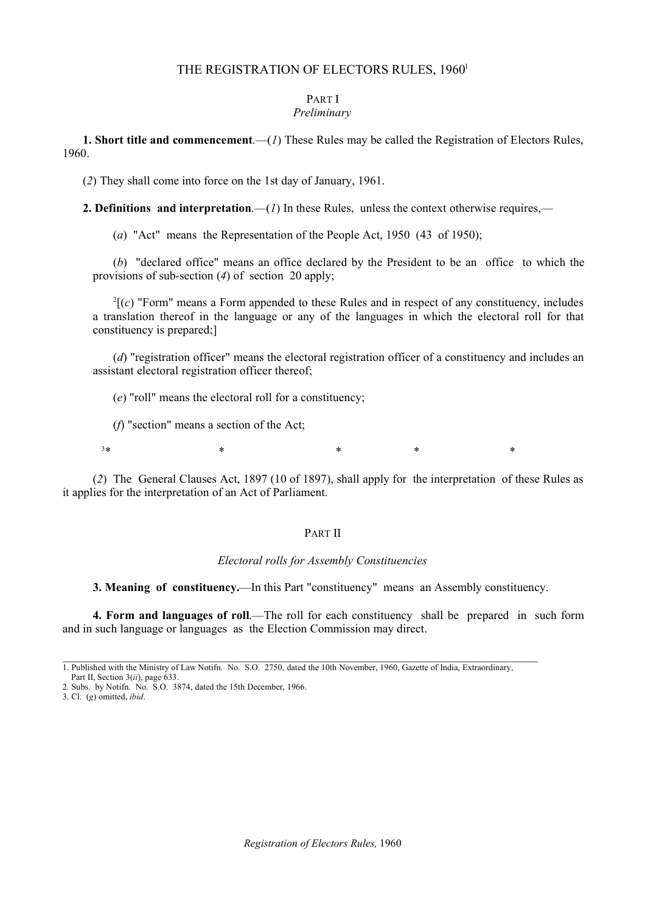### THE REGISTRATION OF ELECTORS RULES, 1960<sup>1</sup>

#### PART I *Preliminary*

**1. Short title and commencement**.—(*1*) These Rules may be called the Registration of Electors Rules, 1960.

(*2*) They shall come into force on the 1st day of January, 1961.

**2. Definitions and interpretation.—(***1***)** In these Rules, unless the context otherwise requires,—

(*a*) "Act" means the Representation of the People Act, 1950 (43 of 1950);

(*b*) "declared office" means an office declared by the President to be an office to which the provisions of sub-section (*4*) of section 20 apply;

 $2\Gamma(c)$  "Form" means a Form appended to these Rules and in respect of any constituency, includes a translation thereof in the language or any of the languages in which the electoral roll for that constituency is prepared;]

(*d*) "registration officer" means the electoral registration officer of a constituency and includes an assistant electoral registration officer thereof;

(*e*) "roll" means the electoral roll for a constituency;

(*f*) "section" means a section of the Act;

 $3*$  \*  $\hbox{$\ast$}$  \*  $\hbox{$\ast$}$  \*

(*2*) The General Clauses Act, 1897 (10 of 1897), shall apply for the interpretation of these Rules as it applies for the interpretation of an Act of Parliament.

### PART II

### *Electoral rolls for Assembly Constituencies*

**3. Meaning of constituency.**—In this Part "constituency" means an Assembly constituency.

**4. Form and languages of roll**.—The roll for each constituency shall be prepared in such form and in such language or languages as the Election Commission may direct.

<sup>1.</sup> Published with the Ministry of Law Notifn. No. S.O. 2750, dated the 10th November, 1960, Gazette of India, Extraordinary,

Part II, Section 3(*ii*), page 633.

<sup>2.</sup> Subs. by Notifn. No. S.O. 3874, dated the 15th December, 1966.

<sup>3.</sup> Cl. (*g*) omitted, *ibid*.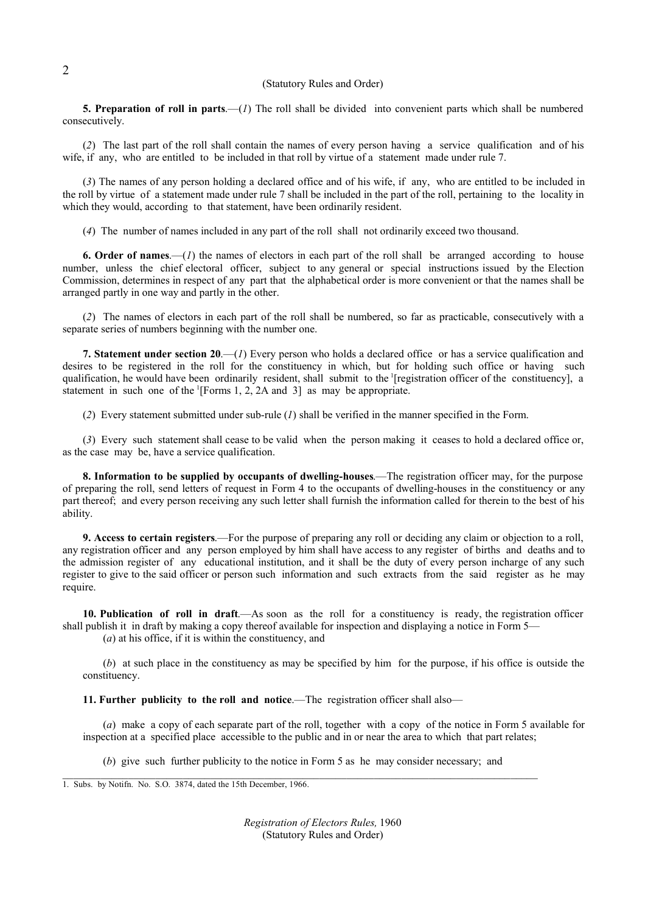#### (Statutory Rules and Order)

**5. Preparation of roll in parts**.—(*1*) The roll shall be divided into convenient parts which shall be numbered consecutively.

(*2*) The last part of the roll shall contain the names of every person having a service qualification and of his wife, if any, who are entitled to be included in that roll by virtue of a statement made under rule 7.

(*3*) The names of any person holding a declared office and of his wife, if any, who are entitled to be included in the roll by virtue of a statement made under rule 7 shall be included in the part of the roll, pertaining to the locality in which they would, according to that statement, have been ordinarily resident.

(*4*) The number of names included in any part of the roll shall not ordinarily exceed two thousand.

**6. Order of names**.—(*1*) the names of electors in each part of the roll shall be arranged according to house number, unless the chief electoral officer, subject to any general or special instructions issued by the Election Commission, determines in respect of any part that the alphabetical order is more convenient or that the names shall be arranged partly in one way and partly in the other.

(*2*) The names of electors in each part of the roll shall be numbered, so far as practicable, consecutively with a separate series of numbers beginning with the number one.

**7. Statement under section 20**.—(*1*) Every person who holds a declared office or has a service qualification and desires to be registered in the roll for the constituency in which, but for holding such office or having such qualification, he would have been ordinarily resident, shall submit to the 1 [registration officer of the constituency], a statement in such one of the  $\Gamma$ [Forms 1, 2, 2A and 3] as may be appropriate.

(*2*) Every statement submitted under sub-rule (*1*) shall be verified in the manner specified in the Form.

(*3*) Every such statement shall cease to be valid when the person making it ceases to hold a declared office or, as the case may be, have a service qualification.

**8. Information to be supplied by occupants of dwelling-houses**.—The registration officer may, for the purpose of preparing the roll, send letters of request in Form 4 to the occupants of dwelling-houses in the constituency or any part thereof; and every person receiving any such letter shall furnish the information called for therein to the best of his ability.

**9. Access to certain registers**.—For the purpose of preparing any roll or deciding any claim or objection to a roll, any registration officer and any person employed by him shall have access to any register of births and deaths and to the admission register of any educational institution, and it shall be the duty of every person incharge of any such register to give to the said officer or person such information and such extracts from the said register as he may require.

**10. Publication of roll in draft**.—As soon as the roll for a constituency is ready, the registration officer shall publish it in draft by making a copy thereof available for inspection and displaying a notice in Form 5—

(*a*) at his office, if it is within the constituency, and

(*b*) at such place in the constituency as may be specified by him for the purpose, if his office is outside the constituency.

**11. Further publicity to the roll and notice**.—The registration officer shall also—

(*a*) make a copy of each separate part of the roll, together with a copy of the notice in Form 5 available for inspection at a specified place accessible to the public and in or near the area to which that part relates;

(*b*) give such further publicity to the notice in Form 5 as he may consider necessary; and

1. Subs. by Notifn. No. S.O. 3874, dated the 15th December, 1966.

*Registration of Electors Rules,* 1960 (Statutory Rules and Order)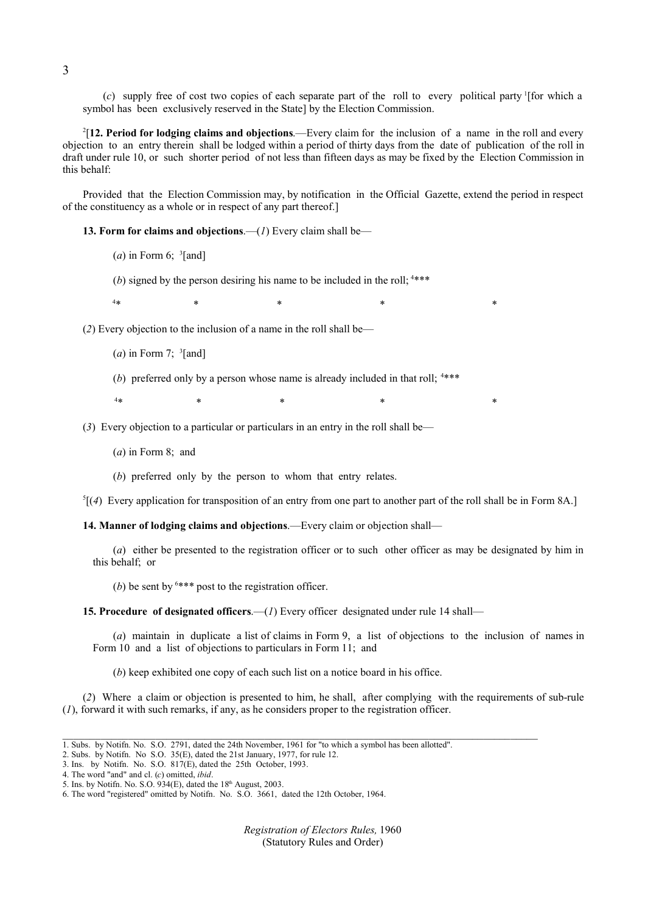(*c*) supply free of cost two copies of each separate part of the roll to every political party 1 [for which a symbol has been exclusively reserved in the State] by the Election Commission.

2 [**12. Period for lodging claims and objections**.—Every claim for the inclusion of a name in the roll and every objection to an entry therein shall be lodged within a period of thirty days from the date of publication of the roll in draft under rule 10, or such shorter period of not less than fifteen days as may be fixed by the Election Commission in this behalf:

Provided that the Election Commission may, by notification in the Official Gazette, extend the period in respect of the constituency as a whole or in respect of any part thereof.]

**13. Form for claims and objections**.—(*1*) Every claim shall be—

(*a*) in Form 6;  $\frac{3}{2}$ [and]

(b) signed by the person desiring his name to be included in the roll;  $4***$ 

 $4*$  $*$  \*  $*$  \*  $*$  \*  $*$  \*

(*2*) Every objection to the inclusion of a name in the roll shall be—

(*a*) in Form 7;  $\frac{3}{2}$ [and]

(*b*) preferred only by a person whose name is already included in that roll; <sup>4\*\*\*</sup>

 $4*$  $*$  \*  $*$  \*  $*$  \*  $*$  \*

(*3*) Every objection to a particular or particulars in an entry in the roll shall be—

(*a*) in Form 8; and

(*b*) preferred only by the person to whom that entry relates.

 ${}^5$ [(4) Every application for transposition of an entry from one part to another part of the roll shall be in Form 8A.]

**14. Manner of lodging claims and objections**.—Every claim or objection shall—

(*a*) either be presented to the registration officer or to such other officer as may be designated by him in this behalf; or

(*b*) be sent by  $6***$  post to the registration officer.

**15. Procedure of designated officers.—(***1***) Every officer designated under rule 14 shall—** 

(*a*) maintain in duplicate a list of claims in Form 9, a list of objections to the inclusion of names in Form 10 and a list of objections to particulars in Form 11; and

(*b*) keep exhibited one copy of each such list on a notice board in his office.

(*2*) Where a claim or objection is presented to him, he shall, after complying with the requirements of sub-rule (*1*), forward it with such remarks, if any, as he considers proper to the registration officer.

 $\_$  , and the state of the state of the state of the state of the state of the state of the state of the state of the state of the state of the state of the state of the state of the state of the state of the state of the

*Registration of Electors Rules,* 1960 (Statutory Rules and Order)

<sup>1.</sup> Subs. by Notifn. No. S.O. 2791, dated the 24th November, 1961 for "to which a symbol has been allotted".

<sup>2.</sup> Subs. by Notifn. No S.O. 35(E), dated the 21st January, 1977, for rule 12.

<sup>3.</sup> Ins. by Notifn. No. S.O.  $817(E)$ , dated the 25th October, 1993.

<sup>4.</sup> The word "and" and cl. (*c*) omitted, *ibid*.

<sup>5.</sup> Ins. by Notifn. No. S.O.  $934(E)$ , dated the 18<sup>th</sup> August, 2003.

<sup>6.</sup> The word "registered" omitted by Notifn. No. S.O. 3661, dated the 12th October, 1964.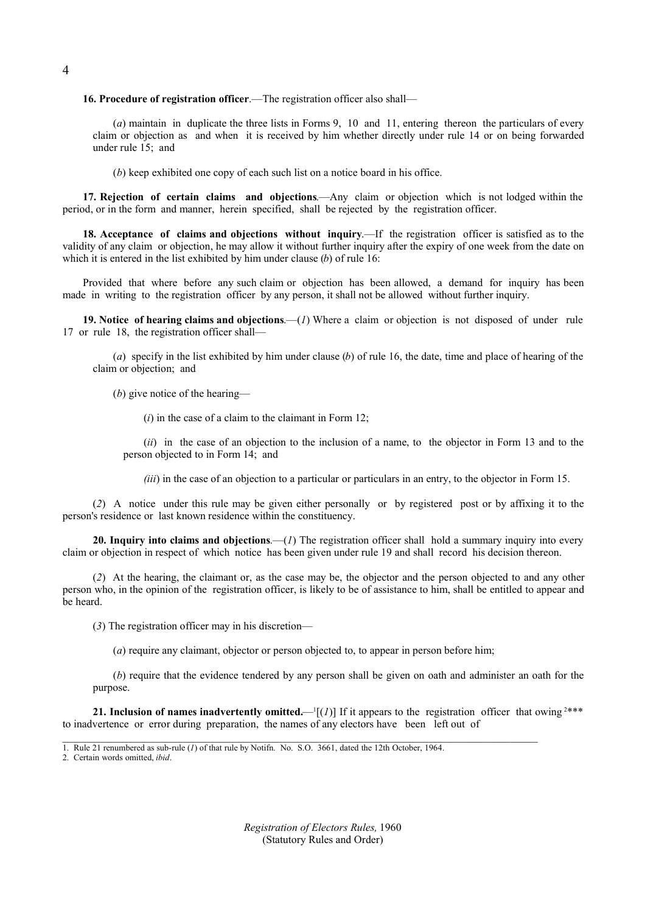**16. Procedure of registration officer**.—The registration officer also shall—

(*a*) maintain in duplicate the three lists in Forms 9, 10 and 11, entering thereon the particulars of every claim or objection as and when it is received by him whether directly under rule 14 or on being forwarded under rule 15; and

(*b*) keep exhibited one copy of each such list on a notice board in his office.

**17. Rejection of certain claims and objections**.—Any claim or objection which is not lodged within the period, or in the form and manner, herein specified, shall be rejected by the registration officer.

**18. Acceptance of claims and objections without inquiry**.—If the registration officer is satisfied as to the validity of any claim or objection, he may allow it without further inquiry after the expiry of one week from the date on which it is entered in the list exhibited by him under clause (*b*) of rule 16:

Provided that where before any such claim or objection has been allowed, a demand for inquiry has been made in writing to the registration officer by any person, it shall not be allowed without further inquiry.

**19. Notice of hearing claims and objections**.—(*1*) Where a claim or objection is not disposed of under rule 17 or rule 18, the registration officer shall—

(*a*) specify in the list exhibited by him under clause (*b*) of rule 16, the date, time and place of hearing of the claim or objection; and

(*b*) give notice of the hearing—

(*i*) in the case of a claim to the claimant in Form 12;

(*ii*) in the case of an objection to the inclusion of a name, to the objector in Form 13 and to the person objected to in Form 14; and

*(iii)* in the case of an objection to a particular or particulars in an entry, to the objector in Form 15.

(*2*) A notice under this rule may be given either personally or by registered post or by affixing it to the person's residence or last known residence within the constituency.

**20. Inquiry into claims and objections**.—(*1*) The registration officer shall hold a summary inquiry into every claim or objection in respect of which notice has been given under rule 19 and shall record his decision thereon.

(*2*) At the hearing, the claimant or, as the case may be, the objector and the person objected to and any other person who, in the opinion of the registration officer, is likely to be of assistance to him, shall be entitled to appear and be heard.

(*3*) The registration officer may in his discretion—

(*a*) require any claimant, objector or person objected to, to appear in person before him;

 $\_$  , and the state of the state of the state of the state of the state of the state of the state of the state of the state of the state of the state of the state of the state of the state of the state of the state of the

(*b*) require that the evidence tendered by any person shall be given on oath and administer an oath for the purpose.

**21. Inclusion of names inadvertently omitted.—** $\left[\frac{1}{1}\right]$  **If it appears to the registration officer that owing <sup>2\*\*\*</sup>** to inadvertence or error during preparation, the names of any electors have been left out of

*Registration of Electors Rules,* 1960 (Statutory Rules and Order)

<sup>1.</sup> Rule 21 renumbered as sub-rule (*1*) of that rule by Notifn. No. S.O. 3661, dated the 12th October, 1964.

<sup>2.</sup> Certain words omitted, *ibid*.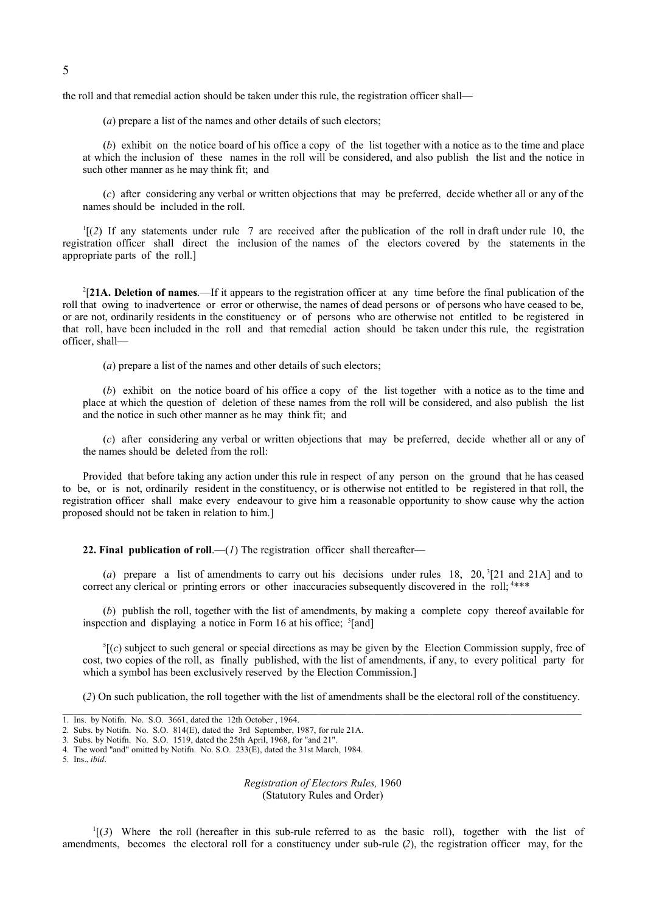the roll and that remedial action should be taken under this rule, the registration officer shall—

(*a*) prepare a list of the names and other details of such electors;

(*b*) exhibit on the notice board of his office a copy of the list together with a notice as to the time and place at which the inclusion of these names in the roll will be considered, and also publish the list and the notice in such other manner as he may think fit; and

(*c*) after considering any verbal or written objections that may be preferred, decide whether all or any of the names should be included in the roll.

 $\binom{1}{2}$  If any statements under rule 7 are received after the publication of the roll in draft under rule 10, the registration officer shall direct the inclusion of the names of the electors covered by the statements in the appropriate parts of the roll.]

2 [**21A. Deletion of names**.—If it appears to the registration officer at any time before the final publication of the roll that owing to inadvertence or error or otherwise, the names of dead persons or of persons who have ceased to be, or are not, ordinarily residents in the constituency or of persons who are otherwise not entitled to be registered in that roll, have been included in the roll and that remedial action should be taken under this rule, the registration officer shall-

(*a*) prepare a list of the names and other details of such electors;

(*b*) exhibit on the notice board of his office a copy of the list together with a notice as to the time and place at which the question of deletion of these names from the roll will be considered, and also publish the list and the notice in such other manner as he may think fit; and

(*c*) after considering any verbal or written objections that may be preferred, decide whether all or any of the names should be deleted from the roll:

Provided that before taking any action under this rule in respect of any person on the ground that he has ceased to be, or is not, ordinarily resident in the constituency, or is otherwise not entitled to be registered in that roll, the registration officer shall make every endeavour to give him a reasonable opportunity to show cause why the action proposed should not be taken in relation to him.]

**22. Final publication of roll.**—( $I$ ) The registration officer shall thereafter—

(*a*) prepare a list of amendments to carry out his decisions under rules 18, 20,  $\frac{3}{2}$ [21 and 21A] and to correct any clerical or printing errors or other inaccuracies subsequently discovered in the roll; <sup>4\*\*\*</sup>

(*b*) publish the roll, together with the list of amendments, by making a complete copy thereof available for inspection and displaying a notice in Form 16 at his office; <sup>5</sup>[and]

 ${}^5[(c)$  subject to such general or special directions as may be given by the Election Commission supply, free of cost, two copies of the roll, as finally published, with the list of amendments, if any, to every political party for which a symbol has been exclusively reserved by the Election Commission.

(*2*) On such publication, the roll together with the list of amendments shall be the electoral roll of the constituency.

*Registration of Electors Rules,* 1960 (Statutory Rules and Order)

1 [(*3*) Where the roll (hereafter in this sub-rule referred to as the basic roll), together with the list of amendments, becomes the electoral roll for a constituency under sub-rule (*2*), the registration officer may, for the

<sup>1.</sup> Ins. by Notifn. No. S.O. 3661, dated the 12th October , 1964.

<sup>2.</sup> Subs. by Notifn. No. S.O. 814(E), dated the 3rd September, 1987, for rule 21A.

<sup>3.</sup> Subs. by Notifn. No. S.O. 1519, dated the 25th April, 1968, for "and 21".

<sup>4.</sup> The word "and" omitted by Notifn. No. S.O. 233(E), dated the 31st March, 1984.

<sup>5.</sup> Ins., *ibid*.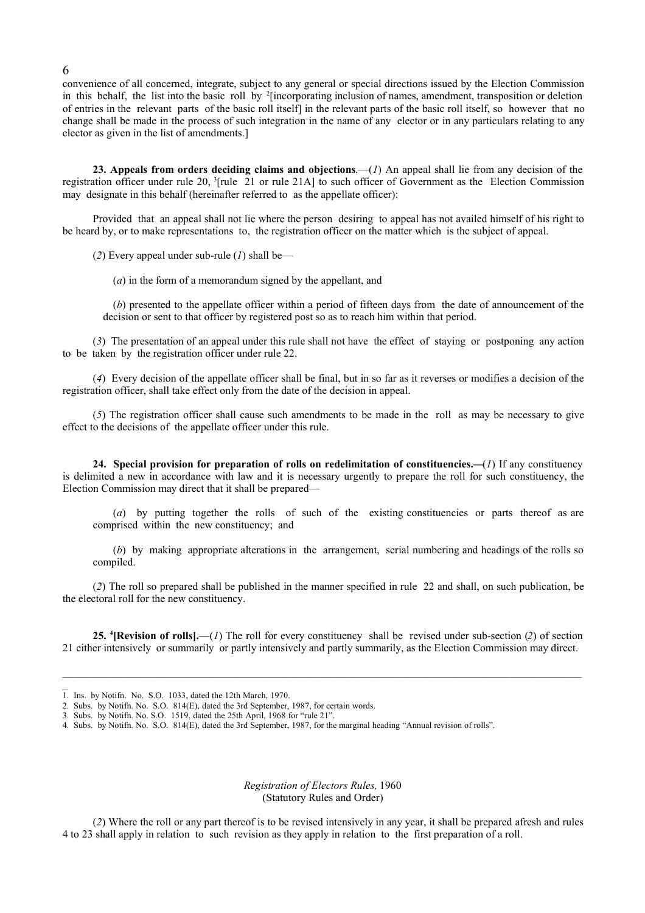convenience of all concerned, integrate, subject to any general or special directions issued by the Election Commission in this behalf, the list into the basic roll by 2 [incorporating inclusion of names, amendment, transposition or deletion of entries in the relevant parts of the basic roll itself] in the relevant parts of the basic roll itself, so however that no change shall be made in the process of such integration in the name of any elector or in any particulars relating to any elector as given in the list of amendments.]

**23. Appeals from orders deciding claims and objections**.—(*1*) An appeal shall lie from any decision of the registration officer under rule 20, <sup>3</sup> [rule 21 or rule 21A] to such officer of Government as the Election Commission may designate in this behalf (hereinafter referred to as the appellate officer):

Provided that an appeal shall not lie where the person desiring to appeal has not availed himself of his right to be heard by, or to make representations to, the registration officer on the matter which is the subject of appeal.

(*2*) Every appeal under sub-rule (*1*) shall be—

(*a*) in the form of a memorandum signed by the appellant, and

(*b*) presented to the appellate officer within a period of fifteen days from the date of announcement of the decision or sent to that officer by registered post so as to reach him within that period.

(*3*) The presentation of an appeal under this rule shall not have the effect of staying or postponing any action to be taken by the registration officer under rule 22.

(*4*) Every decision of the appellate officer shall be final, but in so far as it reverses or modifies a decision of the registration officer, shall take effect only from the date of the decision in appeal.

(*5*) The registration officer shall cause such amendments to be made in the roll as may be necessary to give effect to the decisions of the appellate officer under this rule.

**24. Special provision for preparation of rolls on redelimitation of constituencies.—**(*1*) If any constituency is delimited a new in accordance with law and it is necessary urgently to prepare the roll for such constituency, the Election Commission may direct that it shall be prepared—

(*a*) by putting together the rolls of such of the existing constituencies or parts thereof as are comprised within the new constituency; and

(*b*) by making appropriate alterations in the arrangement, serial numbering and headings of the rolls so compiled.

(*2*) The roll so prepared shall be published in the manner specified in rule 22 and shall, on such publication, be the electoral roll for the new constituency.

**25. <sup>4</sup> [Revision of rolls].**—(*1*) The roll for every constituency shall be revised under sub-section (*2*) of section 21 either intensively or summarily or partly intensively and partly summarily, as the Election Commission may direct.

 $\_$  ,  $\_$  ,  $\_$  ,  $\_$  ,  $\_$  ,  $\_$  ,  $\_$  ,  $\_$  ,  $\_$  ,  $\_$  ,  $\_$  ,  $\_$  ,  $\_$  ,  $\_$  ,  $\_$  ,  $\_$  ,  $\_$  ,  $\_$  ,  $\_$  ,  $\_$  ,  $\_$  ,  $\_$  ,  $\_$  ,  $\_$  ,  $\_$  ,  $\_$  ,  $\_$  ,  $\_$  ,  $\_$  ,  $\_$  ,  $\_$  ,  $\_$  ,  $\_$  ,  $\_$  ,  $\_$  ,  $\_$  ,  $\_$  ,

#### *Registration of Electors Rules,* 1960 (Statutory Rules and Order)

(*2*) Where the roll or any part thereof is to be revised intensively in any year, it shall be prepared afresh and rules 4 to 23 shall apply in relation to such revision as they apply in relation to the first preparation of a roll.

 $\overline{1}$ . Ins. by Notifn. No. S.O. 1033, dated the 12th March, 1970.

<sup>2.</sup> Subs. by Notifn. No. S.O. 814(E), dated the 3rd September, 1987, for certain words.

<sup>3.</sup> Subs. by Notifn. No. S.O. 1519, dated the 25th April, 1968 for "rule 21".

<sup>4.</sup> Subs. by Notifn. No. S.O. 814(E), dated the 3rd September, 1987, for the marginal heading "Annual revision of rolls".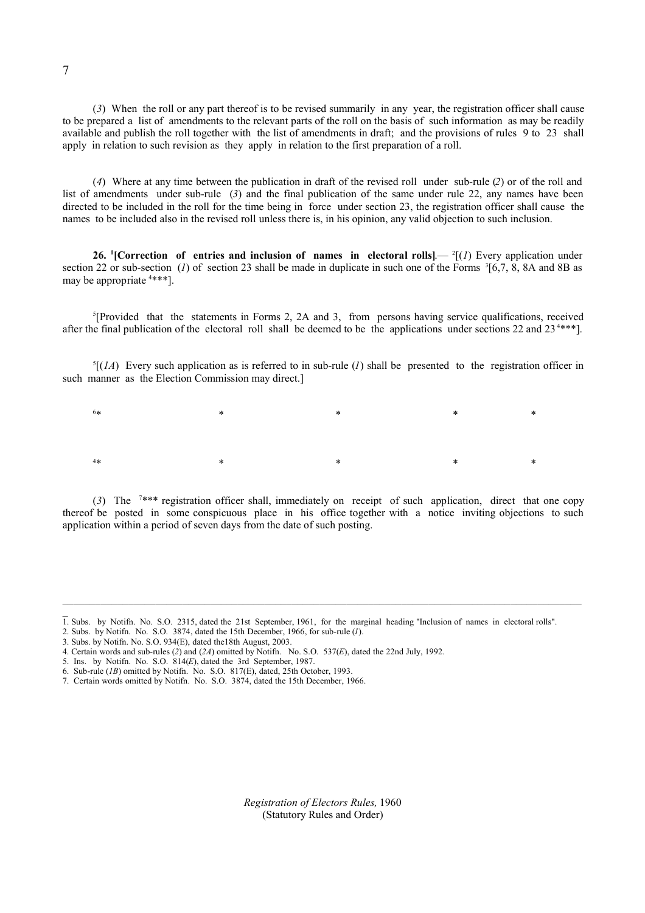(*3*) When the roll or any part thereof is to be revised summarily in any year, the registration officer shall cause to be prepared a list of amendments to the relevant parts of the roll on the basis of such information as may be readily available and publish the roll together with the list of amendments in draft; and the provisions of rules 9 to 23 shall apply in relation to such revision as they apply in relation to the first preparation of a roll.

(*4*) Where at any time between the publication in draft of the revised roll under sub-rule (*2*) or of the roll and list of amendments under sub-rule (*3*) and the final publication of the same under rule 22, any names have been directed to be included in the roll for the time being in force under section 23, the registration officer shall cause the names to be included also in the revised roll unless there is, in his opinion, any valid objection to such inclusion.

**26. <sup>1</sup>**[Correction of entries and inclusion of names in electoral rolls].  $\frac{2}{(1)}$  Every application under section 22 or sub-section (*I*) of section 23 shall be made in duplicate in such one of the Forms  ${}^{3}$ [6,7, 8, 8A and 8B as may be appropriate <sup>4</sup> \*\*\*].

5 [Provided that the statements in Forms 2, 2A and 3, from persons having service qualifications, received after the final publication of the electoral roll shall be deemed to be the applications under sections 22 and 23<sup>4\*\*\*</sup>].

 ${}^5$ [(*1A*) Every such application as is referred to in sub-rule (*I*) shall be presented to the registration officer in such manner as the Election Commission may direct.

6  $*$   $*$   $*$   $*$   $*$   $*$   $*$ 4  $*$   $*$   $*$   $*$   $*$   $*$   $*$ 

(*3*) The <sup>7</sup> \*\*\* registration officer shall, immediately on receipt of such application, direct that one copy thereof be posted in some conspicuous place in his office together with a notice inviting objections to such application within a period of seven days from the date of such posting.

- 2. Subs. by Notifn. No. S.O. 3874, dated the 15th December, 1966, for sub-rule (*1*).
- 3. Subs. by Notifn. No. S.O. 934(E), dated the18th August, 2003.
- 4. Certain words and sub-rules (*2*) and (*2A*) omitted by Notifn. No. S.O. 537(*E*), dated the 22nd July, 1992.
- 5. Ins. by Notifn. No. S.O. 814(*E*), dated the 3rd September, 1987.
- 6. Sub-rule (*1B*) omitted by Notifn. No. S.O. 817(E), dated, 25th October, 1993.
- 7. Certain words omitted by Notifn. No. S.O. 3874, dated the 15th December, 1966.

*Registration of Electors Rules,* 1960 (Statutory Rules and Order)

<sup>1.</sup> Subs. by Notifn. No. S.O. 2315, dated the 21st September, 1961, for the marginal heading "Inclusion of names in electoral rolls".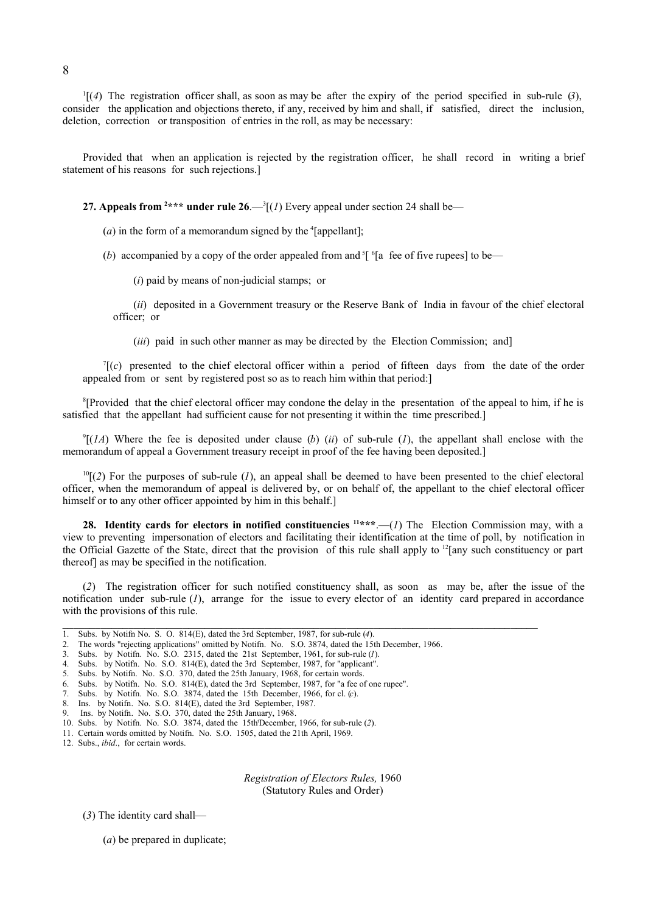1 [(*4*) The registration officer shall, as soon as may be after the expiry of the period specified in sub-rule (*3*), consider the application and objections thereto, if any, received by him and shall, if satisfied, direct the inclusion, deletion, correction or transposition of entries in the roll, as may be necessary:

Provided that when an application is rejected by the registration officer, he shall record in writing a brief statement of his reasons for such rejections.]

**27. Appeals from <sup>2\*\*\*</sup> under rule**  $26$ **.—** $(1)$  **Every appeal under section 24 shall be—** 

 $(a)$  in the form of a memorandum signed by the  $\text{``[append]}$ ;

(b) accompanied by a copy of the order appealed from and  $\frac{5}{1}$  <sup>6</sup>[a fee of five rupees] to be—

(*i*) paid by means of non-judicial stamps; or

(*ii*) deposited in a Government treasury or the Reserve Bank of India in favour of the chief electoral officer; or

(*iii*) paid in such other manner as may be directed by the Election Commission; and]

 $T(c)$  presented to the chief electoral officer within a period of fifteen days from the date of the order appealed from or sent by registered post so as to reach him within that period:]

<sup>8</sup>[Provided that the chief electoral officer may condone the delay in the presentation of the appeal to him, if he is satisfied that the appellant had sufficient cause for not presenting it within the time prescribed.]

 $\mathcal{P}[(1A)$  Where the fee is deposited under clause (*b*) (*ii*) of sub-rule (*I*), the appellant shall enclose with the memorandum of appeal a Government treasury receipt in proof of the fee having been deposited.]

 $<sup>10</sup>$ [(2) For the purposes of sub-rule (*I*), an appeal shall be deemed to have been presented to the chief electoral</sup> officer, when the memorandum of appeal is delivered by, or on behalf of, the appellant to the chief electoral officer himself or to any other officer appointed by him in this behalf.]

**28. Identity cards for electors in notified constituencies <sup>11</sup> \*\*\***.—(*1*) The Election Commission may, with a view to preventing impersonation of electors and facilitating their identification at the time of poll, by notification in the Official Gazette of the State, direct that the provision of this rule shall apply to  $^{12}$ [any such constituency or part thereof] as may be specified in the notification.

(*2*) The registration officer for such notified constituency shall, as soon as may be, after the issue of the notification under sub-rule (*1*), arrange for the issue to every elector of an identity card prepared in accordance with the provisions of this rule.

 $\_$  , and the state of the state of the state of the state of the state of the state of the state of the state of the state of the state of the state of the state of the state of the state of the state of the state of the

12. Subs., *ibid*., for certain words.

*Registration of Electors Rules,* 1960 (Statutory Rules and Order)

(*3*) The identity card shall—

(*a*) be prepared in duplicate;

<sup>1.</sup> Subs. by Notifn No. S. O. 814(E), dated the 3rd September, 1987, for sub-rule (*4*).

<sup>2.</sup> The words "rejecting applications" omitted by Notifn. No. S.O. 3874, dated the 15th December, 1966.

<sup>3.</sup> Subs. by Notifn. No. S.O. 2315, dated the 21st September, 1961, for sub-rule (*1*).

<sup>4.</sup> Subs. by Notifn. No. S.O. 814(E), dated the 3rd September, 1987, for "applicant".

<sup>5.</sup> Subs. by Notifn. No. S.O. 370, dated the 25th January, 1968, for certain words.

<sup>6.</sup> Subs. by Notifn. No. S.O. 814(E), dated the 3rd September, 1987, for "a fee of one rupee".

<sup>7.</sup> Subs. by Notifn. No. S.O. 3874, dated the 15th December, 1966, for cl. (*c*).

<sup>8.</sup> Ins. by Notifn. No. S.O. 814(E), dated the 3rd September, 1987.

<sup>9.</sup> Ins. by Notifn. No. S.O. 370, dated the 25th January, 1968.

<sup>10.</sup> Subs. by Notifn. No. S.O. 3874, dated the 15th <sup>t</sup>December, 1966, for sub-rule (*2*).

<sup>11.</sup> Certain words omitted by Notifn. No. S.O. 1505, dated the 21th April, 1969.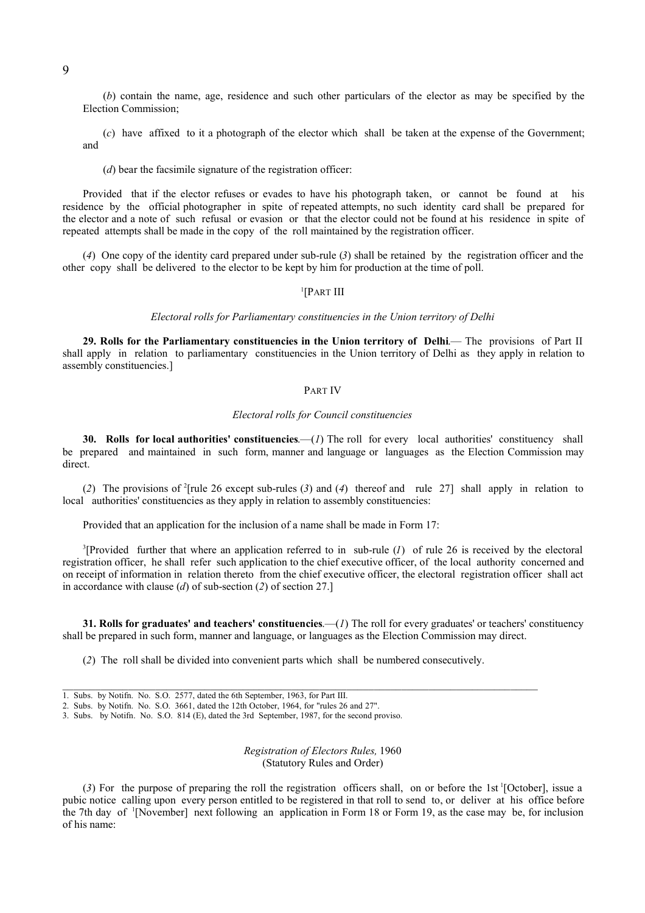(*b*) contain the name, age, residence and such other particulars of the elector as may be specified by the Election Commission;

(*c*) have affixed to it a photograph of the elector which shall be taken at the expense of the Government; and

(*d*) bear the facsimile signature of the registration officer:

Provided that if the elector refuses or evades to have his photograph taken, or cannot be found at his residence by the official photographer in spite of repeated attempts, no such identity card shall be prepared for the elector and a note of such refusal or evasion or that the elector could not be found at his residence in spite of repeated attempts shall be made in the copy of the roll maintained by the registration officer.

(*4*) One copy of the identity card prepared under sub-rule (*3*) shall be retained by the registration officer and the other copy shall be delivered to the elector to be kept by him for production at the time of poll.

#### 1 [PART III

#### *Electoral rolls for Parliamentary constituencies in the Union territory of Delhi*

**29. Rolls for the Parliamentary constituencies in the Union territory of Delhi**.— The provisions of Part II shall apply in relation to parliamentary constituencies in the Union territory of Delhi as they apply in relation to assembly constituencies.]

#### PART IV

#### *Electoral rolls for Council constituencies*

**30. Rolls for local authorities' constituencies**.—(*1*) The roll for every local authorities' constituency shall be prepared and maintained in such form, manner and language or languages as the Election Commission may direct.

(*2*) The provisions of <sup>2</sup> [rule 26 except sub-rules (*3*) and (*4*) thereof and rule 27] shall apply in relation to local authorities' constituencies as they apply in relation to assembly constituencies:

Provided that an application for the inclusion of a name shall be made in Form 17:

3 [Provided further that where an application referred to in sub-rule (*1*) of rule 26 is received by the electoral registration officer, he shall refer such application to the chief executive officer, of the local authority concerned and on receipt of information in relation thereto from the chief executive officer, the electoral registration officer shall act in accordance with clause (*d*) of sub-section (*2*) of section 27.]

**31. Rolls for graduates' and teachers' constituencies**.—(*1*) The roll for every graduates' or teachers' constituency shall be prepared in such form, manner and language, or languages as the Election Commission may direct.

(*2*) The roll shall be divided into convenient parts which shall be numbered consecutively.

3. Subs. by Notifn. No. S.O. 814 (E), dated the 3rd September, 1987, for the second proviso.

*Registration of Electors Rules,* 1960 (Statutory Rules and Order)

(*3*) For the purpose of preparing the roll the registration officers shall, on or before the 1st 1 [October], issue a pubic notice calling upon every person entitled to be registered in that roll to send to, or deliver at his office before the 7th day of 1 [November] next following an application in Form 18 or Form 19, as the case may be, for inclusion of his name:

<sup>1.</sup> Subs. by Notifn. No. S.O. 2577, dated the 6th September, 1963, for Part III.

<sup>2.</sup> Subs. by Notifn. No. S.O. 3661, dated the 12th October, 1964, for "rules 26 and 27".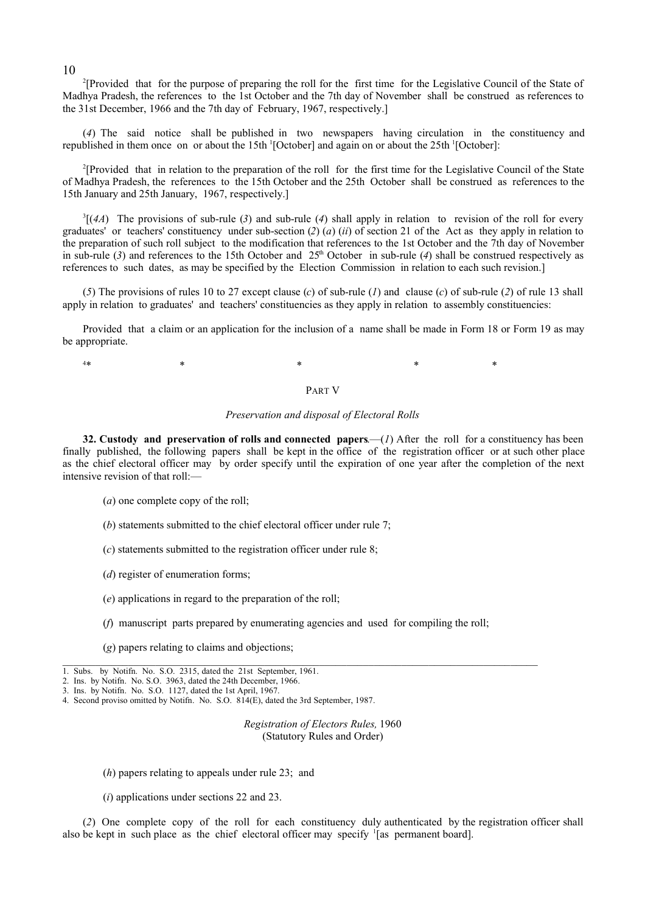2 [Provided that for the purpose of preparing the roll for the first time for the Legislative Council of the State of Madhya Pradesh, the references to the 1st October and the 7th day of November shall be construed as references to the 31st December, 1966 and the 7th day of February, 1967, respectively.]

(*4*) The said notice shall be published in two newspapers having circulation in the constituency and republished in them once on or about the 15th <sup>1</sup>[October] and again on or about the 25th <sup>1</sup>[October]:

2 [Provided that in relation to the preparation of the roll for the first time for the Legislative Council of the State of Madhya Pradesh, the references to the 15th October and the 25th October shall be construed as references to the 15th January and 25th January, 1967, respectively.]

 ${}^{3}$ [(*4A*) The provisions of sub-rule (*3*) and sub-rule (*4*) shall apply in relation to revision of the roll for every graduates' or teachers' constituency under sub-section (*2*) (*a*) (*ii*) of section 21 of the Act as they apply in relation to the preparation of such roll subject to the modification that references to the 1st October and the 7th day of November in sub-rule (3) and references to the 15th October and  $25<sup>th</sup>$  October in sub-rule (4) shall be construed respectively as references to such dates, as may be specified by the Election Commission in relation to each such revision.]

(*5*) The provisions of rules 10 to 27 except clause (*c*) of sub-rule (*1*) and clause (*c*) of sub-rule (*2*) of rule 13 shall apply in relation to graduates' and teachers' constituencies as they apply in relation to assembly constituencies:

Provided that a claim or an application for the inclusion of a name shall be made in Form 18 or Form 19 as may be appropriate.

 $4*$  $*$  \*  $*$   $*$   $*$   $*$   $*$ 

PART V

#### *Preservation and disposal of Electoral Rolls*

**32. Custody and preservation of rolls and connected papers**.—(*1*) After the roll for a constituency has been finally published, the following papers shall be kept in the office of the registration officer or at such other place as the chief electoral officer may by order specify until the expiration of one year after the completion of the next intensive revision of that roll:—

(*a*) one complete copy of the roll;

- (*b*) statements submitted to the chief electoral officer under rule 7;
- (*c*) statements submitted to the registration officer under rule 8;
- (*d*) register of enumeration forms;
- (*e*) applications in regard to the preparation of the roll;
- (*f*) manuscript parts prepared by enumerating agencies and used for compiling the roll;

 $\_$  , and the state of the state of the state of the state of the state of the state of the state of the state of the state of the state of the state of the state of the state of the state of the state of the state of the

(*g*) papers relating to claims and objections;

*Registration of Electors Rules,* 1960 (Statutory Rules and Order)

(*h*) papers relating to appeals under rule 23; and

(*i*) applications under sections 22 and 23.

(*2*) One complete copy of the roll for each constituency duly authenticated by the registration officer shall also be kept in such place as the chief electoral officer may specify 1 [as permanent board].

<sup>1.</sup> Subs. by Notifn. No. S.O. 2315, dated the 21st September, 1961.

<sup>2.</sup> Ins. by Notifn. No. S.O. 3963, dated the 24th December, 1966.

<sup>3.</sup> Ins. by Notifn. No. S.O. 1127, dated the 1st April, 1967.

<sup>4.</sup> Second proviso omitted by Notifn. No. S.O. 814(E), dated the 3rd September, 1987.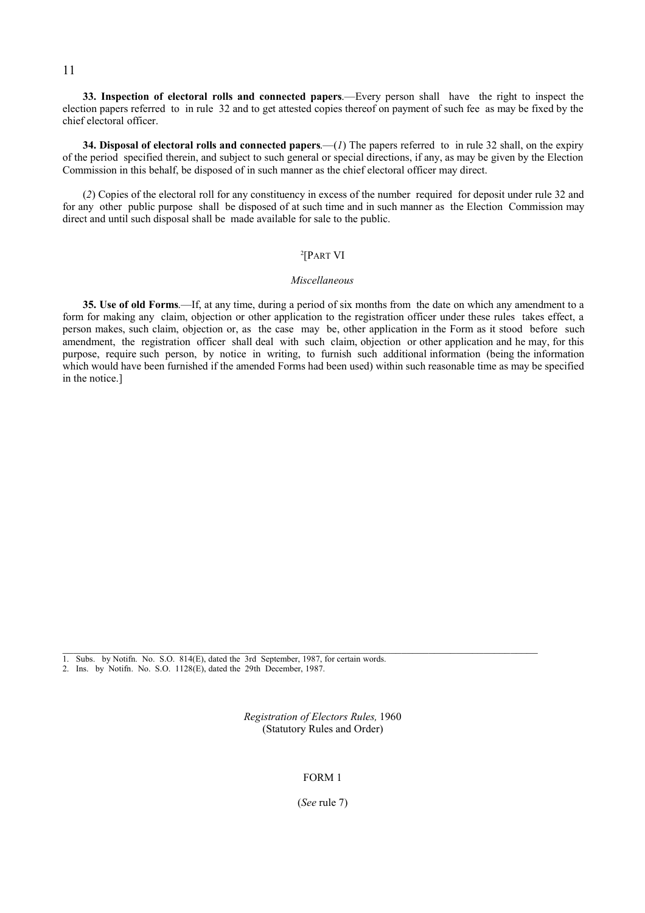#### 11

**33. Inspection of electoral rolls and connected papers**.—Every person shall have the right to inspect the election papers referred to in rule 32 and to get attested copies thereof on payment of such fee as may be fixed by the chief electoral officer.

**34. Disposal of electoral rolls and connected papers**.—(*1*) The papers referred to in rule 32 shall, on the expiry of the period specified therein, and subject to such general or special directions, if any, as may be given by the Election Commission in this behalf, be disposed of in such manner as the chief electoral officer may direct.

(*2*) Copies of the electoral roll for any constituency in excess of the number required for deposit under rule 32 and for any other public purpose shall be disposed of at such time and in such manner as the Election Commission may direct and until such disposal shall be made available for sale to the public.

#### 2 [PART VI

#### *Miscellaneous*

**35. Use of old Forms**.—If, at any time, during a period of six months from the date on which any amendment to a form for making any claim, objection or other application to the registration officer under these rules takes effect, a person makes, such claim, objection or, as the case may be, other application in the Form as it stood before such amendment, the registration officer shall deal with such claim, objection or other application and he may, for this purpose, require such person, by notice in writing, to furnish such additional information (being the information which would have been furnished if the amended Forms had been used) within such reasonable time as may be specified in the notice.]

1. Subs. by Notifn. No. S.O. 814(E), dated the 3rd September, 1987, for certain words.

2. Ins. by Notifn. No. S.O. 1128(E), dated the 29th December, 1987.

*Registration of Electors Rules,* 1960 (Statutory Rules and Order)

 $\mathcal{L}_\text{max}$ 

FORM 1

(*See* rule 7)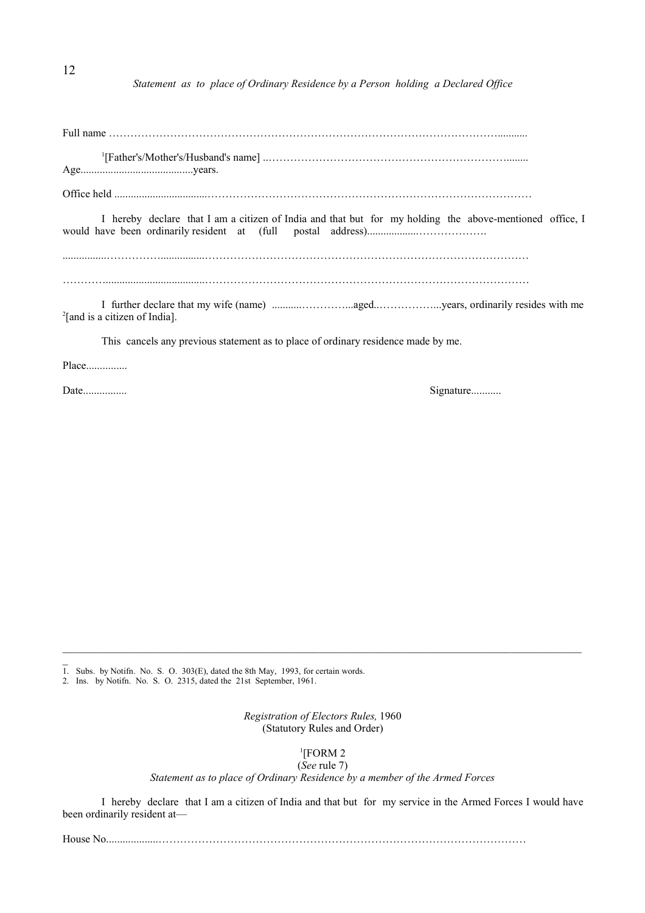*Statement as to place of Ordinary Residence by a Person holding a Declared Office*

Full name ………………………………………………………………………………………………...........

1 [Father's/Mother's/Husband's name] ..…………………………………………………………........ Age.........................................years.

Office held ..................................………………………………………………………………………………

I hereby declare that I am a citizen of India and that but for my holding the above-mentioned office, I would have been ordinarily resident at (full postal address)...................……………….

................……………................………………………………………………………………………………

…………....................................………………………………………………………………………………

I further declare that my wife (name) ...........…………...aged..……………...years, ordinarily resides with me 2 [and is a citizen of India].

This cancels any previous statement as to place of ordinary residence made by me.

Place...............

Date................ Signature...........

 $\overline{a}$ 

1. Subs. by Notifn. No. S. O. 303(E), dated the 8th May, 1993, for certain words.

2. Ins. by Notifn. No. S. O. 2315, dated the 21st September, 1961.

*Registration of Electors Rules,* 1960 (Statutory Rules and Order)

 $\_$  ,  $\_$  ,  $\_$  ,  $\_$  ,  $\_$  ,  $\_$  ,  $\_$  ,  $\_$  ,  $\_$  ,  $\_$  ,  $\_$  ,  $\_$  ,  $\_$  ,  $\_$  ,  $\_$  ,  $\_$  ,  $\_$  ,  $\_$  ,  $\_$  ,  $\_$  ,  $\_$  ,  $\_$  ,  $\_$  ,  $\_$  ,  $\_$  ,  $\_$  ,  $\_$  ,  $\_$  ,  $\_$  ,  $\_$  ,  $\_$  ,  $\_$  ,  $\_$  ,  $\_$  ,  $\_$  ,  $\_$  ,  $\_$  ,

1 [FORM 2

(*See* rule 7)

*Statement as to place of Ordinary Residence by a member of the Armed Forces*

I hereby declare that I am a citizen of India and that but for my service in the Armed Forces I would have been ordinarily resident at—

House No...................…………………………………………………………………………………………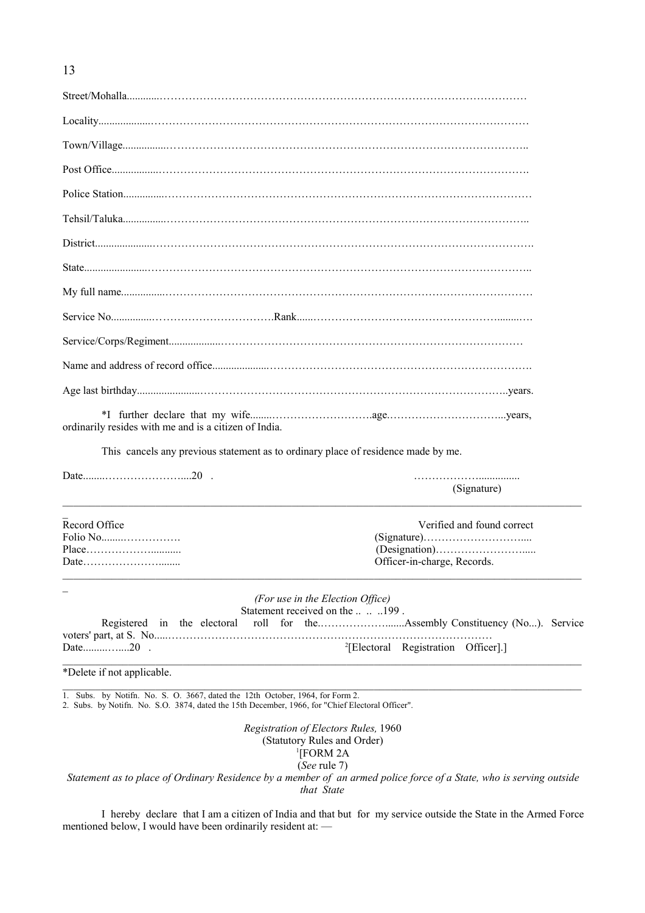Street/Mohalla............………………………………………………………………………………………… Locality...................…………………………………………………………………………………………… Town/Village................……………………………………………………………………………………….. Post Office.................…………………………………………………………………………………………. Police Station...............………………………………………………………………………………………… Tehsil/Taluka................……………………………………………………………………………………….. District.....................……………………………………………………………………………………………. State.......................…………………………………………………………………………………………….. My full name................………………………………………………………………………………………… Service No...............…………………………….Rank......……………………………………………........…. Service/Corps/Regiment...................………………………………………………………………………… Name and address of record office.....................………………………………………………………………. Age last birthday.......................…………………………………………………………………………..years. \*I further declare that my wife........……………………….age.…………………………...years, ordinarily resides with me and is a citizen of India.

This cancels any previous statement as to ordinary place of residence made by me.

Date........…………………....20 . ………………...............

(Signature)  $\_$  ,  $\_$  ,  $\_$  ,  $\_$  ,  $\_$  ,  $\_$  ,  $\_$  ,  $\_$  ,  $\_$  ,  $\_$  ,  $\_$  ,  $\_$  ,  $\_$  ,  $\_$  ,  $\_$  ,  $\_$  ,  $\_$  ,  $\_$  ,  $\_$  ,  $\_$  ,  $\_$  ,  $\_$  ,  $\_$  ,  $\_$  ,  $\_$  ,  $\_$  ,  $\_$  ,  $\_$  ,  $\_$  ,  $\_$  ,  $\_$  ,  $\_$  ,  $\_$  ,  $\_$  ,  $\_$  ,  $\_$  ,  $\_$  ,  $\overline{a}$ Record Office Verified and found correct Folio No........……………. (Signature)……………………….... Place………………........... (Designation)……………………..... Date…………………........ Officer-in-charge, Records.  $\_$  ,  $\_$  ,  $\_$  ,  $\_$  ,  $\_$  ,  $\_$  ,  $\_$  ,  $\_$  ,  $\_$  ,  $\_$  ,  $\_$  ,  $\_$  ,  $\_$  ,  $\_$  ,  $\_$  ,  $\_$  ,  $\_$  ,  $\_$  ,  $\_$  ,  $\_$  ,  $\_$  ,  $\_$  ,  $\_$  ,  $\_$  ,  $\_$  ,  $\_$  ,  $\_$  ,  $\_$  ,  $\_$  ,  $\_$  ,  $\_$  ,  $\_$  ,  $\_$  ,  $\_$  ,  $\_$  ,  $\_$  ,  $\_$  ,

*(For use in the Election Office)* Statement received on the ... .. .199. Registered in the electoral roll for the.……………….......Assembly Constituency (No...). Service voters' part, at S. No.....……………………………………………………………………………… Date......................20 . 2 [Electoral Registration Officer].] \_\_\_\_\_\_\_\_\_\_\_\_\_\_\_\_\_\_\_\_\_\_\_\_\_\_\_\_\_\_\_\_\_\_\_\_\_\_\_\_\_\_\_\_\_\_\_\_\_\_\_\_\_\_\_\_\_\_\_\_\_\_\_\_\_\_\_\_\_\_\_\_\_\_\_\_\_\_\_\_\_\_\_\_\_\_\_\_\_\_\_\_\_\_\_

\*Delete if not applicable.

1. Subs. by Notifn. No. S. O. 3667, dated the 12th October, 1964, for Form 2. 2. Subs. by Notifn. No. S.O. 3874, dated the 15th December, 1966, for "Chief Electoral Officer".

> *Registration of Electors Rules,* 1960 (Statutory Rules and Order) 1 [FORM 2A (*See* rule 7)

\_\_\_\_\_\_\_\_\_\_\_\_\_\_\_\_\_\_\_\_\_\_\_\_\_\_\_\_\_\_\_\_\_\_\_\_\_\_\_\_\_\_\_\_\_\_\_\_\_\_\_\_\_\_\_\_\_\_\_\_\_\_\_\_\_\_\_\_\_\_\_\_\_\_\_\_\_\_\_\_\_\_\_\_\_\_\_\_\_\_\_\_\_\_\_

*Statement as to place of Ordinary Residence by a member of an armed police force of a State, who is serving outside that State*

I hereby declare that I am a citizen of India and that but for my service outside the State in the Armed Force mentioned below, I would have been ordinarily resident at: —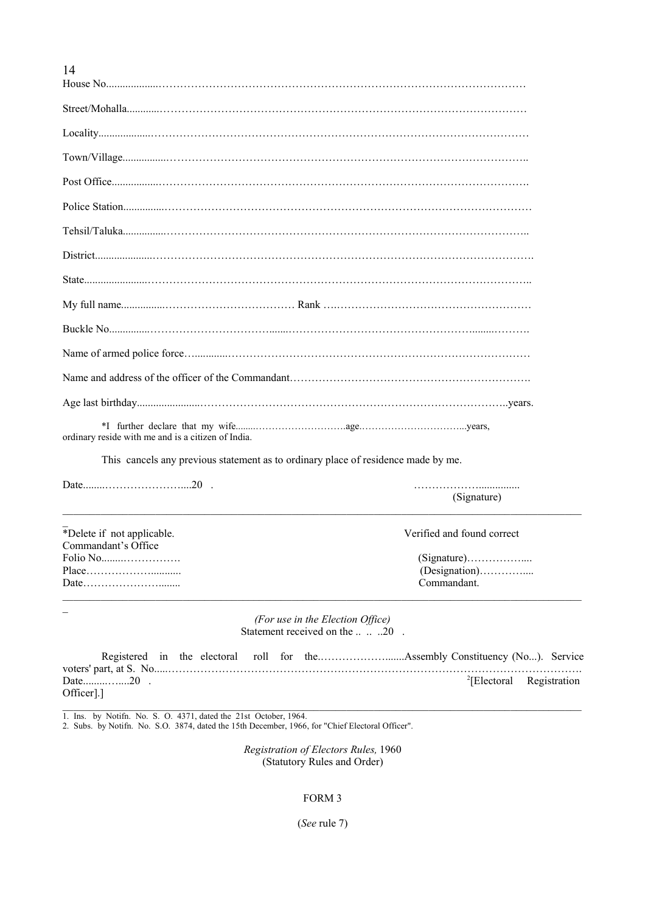| a matthews are to the contribution of some of the first contribution of the disc |
|----------------------------------------------------------------------------------|

ordinary reside with me and is a citizen of India.

This cancels any previous statement as to ordinary place of residence made by me.

Date........…………………....20 . ………………...............

\*Delete if not applicable. Verified and found correct Commandant's Office Folio No........……………. (Signature)…………….... Place………………........... (Designation)………….... Date…………………........ Commandant.

 $\overline{a}$ 

(Signature)

*(For use in the Election Office)* Statement received on the .......20.

\_\_\_\_\_\_\_\_\_\_\_\_\_\_\_\_\_\_\_\_\_\_\_\_\_\_\_\_\_\_\_\_\_\_\_\_\_\_\_\_\_\_\_\_\_\_\_\_\_\_\_\_\_\_\_\_\_\_\_\_\_\_\_\_\_\_\_\_\_\_\_\_\_\_\_\_\_\_\_\_\_\_\_\_\_\_\_\_\_\_\_\_\_\_\_

|          |  |  |  | <sup>2</sup> [Electoral Registration |
|----------|--|--|--|--------------------------------------|
| Officer. |  |  |  |                                      |

1. Ins. by Notifn. No. S. O. 4371, dated the 21st October, 1964.

2. Subs. by Notifn. No. S.O. 3874, dated the 15th December, 1966, for "Chief Electoral Officer".

*Registration of Electors Rules,* 1960 (Statutory Rules and Order)

#### FORM 3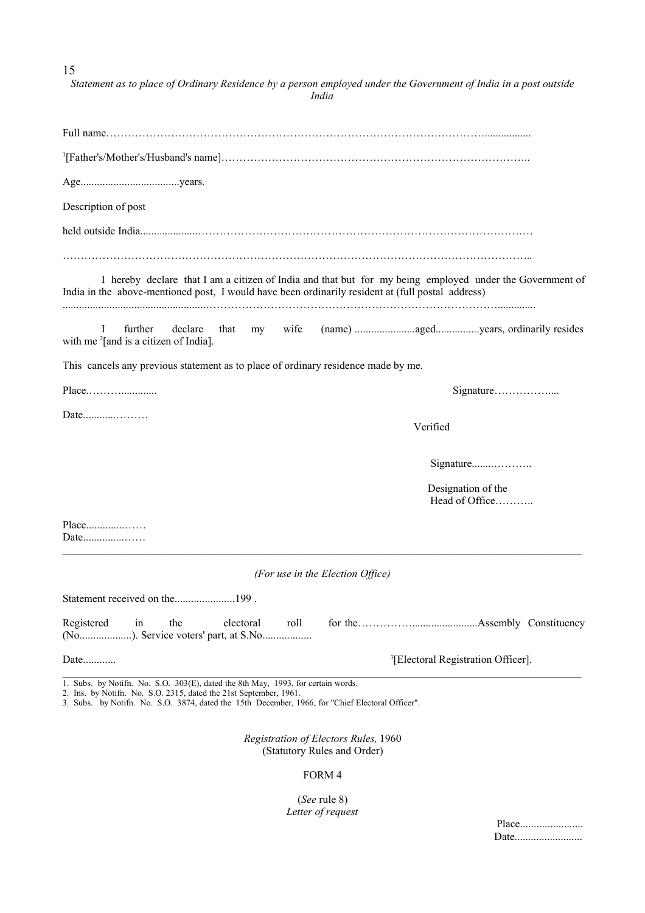15

| Statement as to place of Ordinary Residence by a person employed under the Government of India in a post outside<br><i>India</i>                                                                                                                          |
|-----------------------------------------------------------------------------------------------------------------------------------------------------------------------------------------------------------------------------------------------------------|
|                                                                                                                                                                                                                                                           |
|                                                                                                                                                                                                                                                           |
|                                                                                                                                                                                                                                                           |
| Description of post                                                                                                                                                                                                                                       |
|                                                                                                                                                                                                                                                           |
| I hereby declare that I am a citizen of India and that but for my being employed under the Government of<br>India in the above-mentioned post, I would have been ordinarily resident at (full postal address)                                             |
| wife<br>further<br>declare<br>I<br>that<br>my<br>with me $^{2}$ [and is a citizen of India].                                                                                                                                                              |
| This cancels any previous statement as to place of ordinary residence made by me.                                                                                                                                                                         |
| Signature                                                                                                                                                                                                                                                 |
| Verified                                                                                                                                                                                                                                                  |
| Signature                                                                                                                                                                                                                                                 |
| Designation of the<br>Head of Office                                                                                                                                                                                                                      |
| Place<br>Date                                                                                                                                                                                                                                             |
| (For use in the Election Office)                                                                                                                                                                                                                          |
| Statement received on the199.                                                                                                                                                                                                                             |
| Registered<br>the<br>electoral<br>$\sin$<br>roll<br>(No). Service voters' part, at S.No                                                                                                                                                                   |
| <sup>3</sup> [Electoral Registration Officer].                                                                                                                                                                                                            |
| 1. Subs. by Notifn. No. S.O. 303(E), dated the 8th May, 1993, for certain words.<br>2. Ins. by Notifn. No. S.O. 2315, dated the 21st September, 1961.<br>3. Subs. by Notifn. No. S.O. 3874, dated the 15th December, 1966, for "Chief Electoral Officer". |
| Registration of Electors Rules, 1960<br>(Statutory Rules and Order)                                                                                                                                                                                       |
| FORM 4                                                                                                                                                                                                                                                    |

(*See* rule 8) *Letter of request*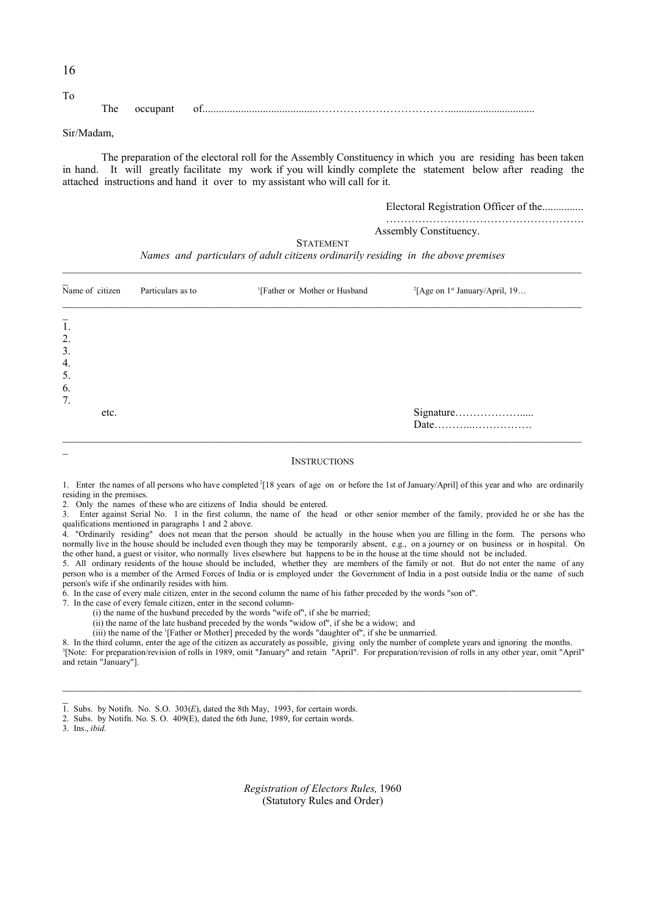| 1<br>6 |
|--------|
|--------|

To The occupant of..........................................………………………………................................

#### Sir/Madam,

The preparation of the electoral roll for the Assembly Constituency in which you are residing has been taken in hand. It will greatly facilitate my work if you will kindly complete the statement below after reading the attached instructions and hand it over to my assistant who will call for it.

> Electoral Registration Officer of the............... ……………………………………………….

Assembly Constituency.

**STATEMENT** 

*Names and particulars of adult citizens ordinarily residing in the above premises*

| Name of citizen                                      | Particulars as to | <sup>1</sup> [Father or Mother or Husband | <sup>2</sup> [Age on $1st$ January/April, 19 |
|------------------------------------------------------|-------------------|-------------------------------------------|----------------------------------------------|
| $\overline{1}$ .<br>2.<br>3.<br>4.<br>5.<br>6.<br>7. |                   |                                           |                                              |
| etc.                                                 |                   |                                           | Date                                         |

#### **INSTRUCTIONS**

- 1. Enter the names of all persons who have completed  $^{2}$ [18 years of age on or before the 1st of January/April] of this year and who are ordinarily residing in the premises.
- 2. Only the names of these who are citizens of India should be entered.
- 3. Enter against Serial No. 1 in the first column, the name of the head or other senior member of the family, provided he or she has the qualifications mentioned in paragraphs 1 and 2 above.

4. "Ordinarily residing" does not mean that the person should be actually in the house when you are filling in the form. The persons who normally live in the house should be included even though they may be temporarily absent, e.g., on a journey or on business or in hospital. On the other hand, a guest or visitor, who normally lives elsewhere but happens to be in the house at the time should not be included.

5. All ordinary residents of the house should be included, whether they are members of the family or not. But do not enter the name of any person who is a member of the Armed Forces of India or is employed under the Government of India in a post outside India or the name of such person's wife if she ordinarily resides with him.

6. In the case of every male citizen, enter in the second column the name of his father preceded by the words "son of".

7. In the case of every female citizen, enter in the second column-

(i) the name of the husband preceded by the words "wife of", if she be married;

(ii) the name of the late husband preceded by the words "widow of", if she be a widow; and

(iii) the name of the  $\frac{1}{1}$ Father or Mother] preceded by the words "daughter of", if she be unmarried.

8. In the third column, enter the age of the citizen as accurately as possible, giving only the number of complete years and ignoring the months.<br><sup>3</sup>[Note: For preparation/revision of rolls in 1989, omit "January" and reta and retain "January"].

3. Ins., *ibid.*

*Registration of Electors Rules,* 1960 (Statutory Rules and Order)

 $\overline{1}$ . Subs. by Notifn. No. S.O. 303 $(E)$ , dated the 8th May, 1993, for certain words.

<sup>2.</sup> Subs. by Notifn. No. S. O. 409(E), dated the 6th June, 1989, for certain words.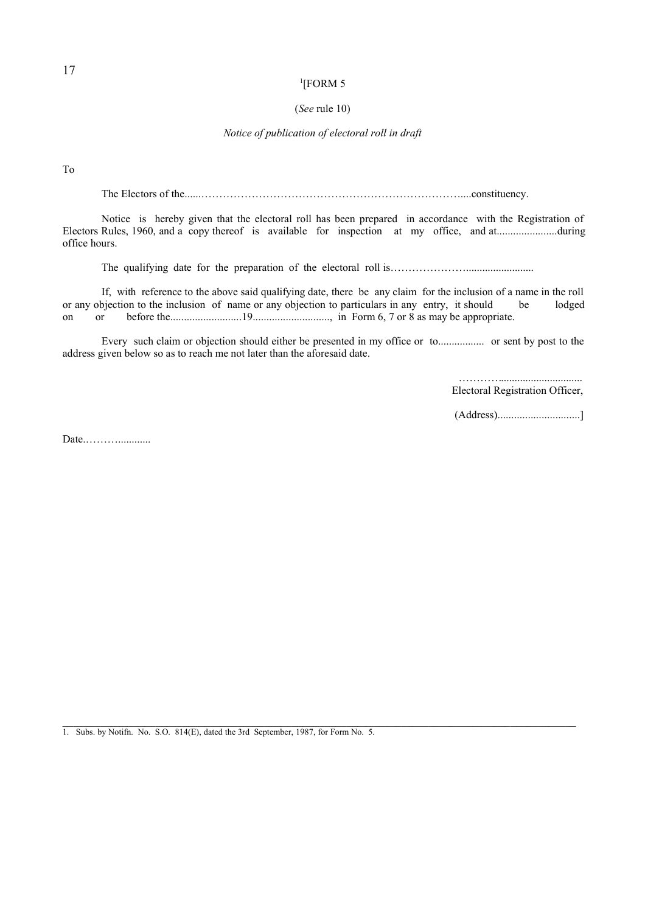#### 1 [FORM 5

#### (*See* rule 10)

### *Notice of publication of electoral roll in draft*

To

The Electors of the......………………………………………………………………....constituency.

Notice is hereby given that the electoral roll has been prepared in accordance with the Registration of Electors Rules, 1960, and a copy thereof is available for inspection at my office, and at......................during office hours.

The qualifying date for the preparation of the electoral roll is……………………………………………

If, with reference to the above said qualifying date, there be any claim for the inclusion of a name in the roll or any objection to the inclusion of name or any objection to particulars in any entry, it should be lodged on or before the..........................19............................, in Form 6, 7 or 8 as may be appropriate.

Every such claim or objection should either be presented in my office or to................. or sent by post to the address given below so as to reach me not later than the aforesaid date.

 $\mathcal{L}_\mathcal{L} = \mathcal{L}_\mathcal{L}$ 

 ………….............................. Electoral Registration Officer,

(Address)..............................]

Date.………............

1. Subs. by Notifn. No. S.O. 814(E), dated the 3rd September, 1987, for Form No. 5.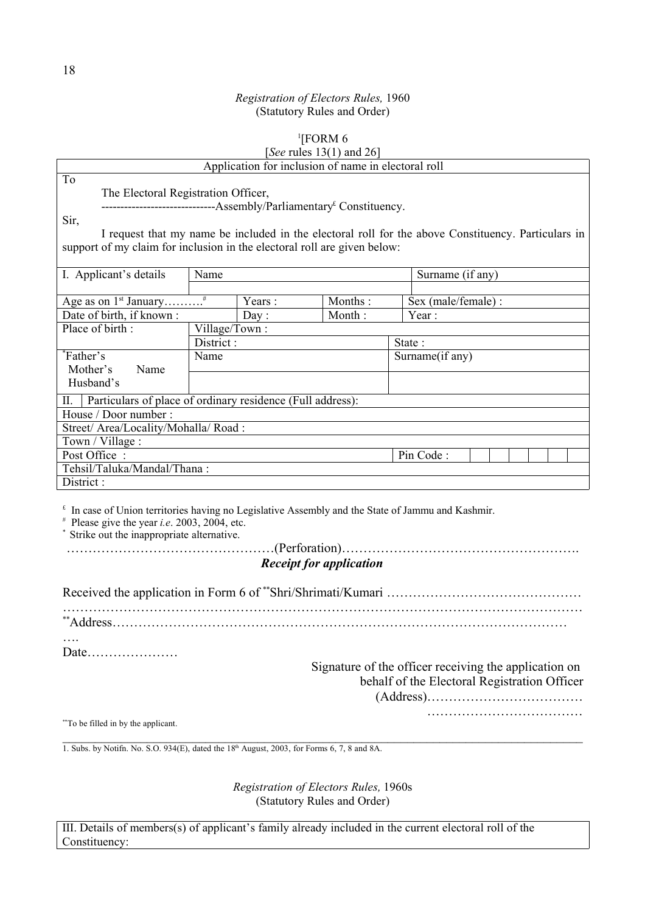### $1$ [FORM 6

### [*See* rules 13(1) and 26]

|                                                                                                     |                                                                                  | Application for inclusion of name in electoral roll | $500$ $1000$ $10(1)$ $000$ $-0$ |                     |  |  |  |
|-----------------------------------------------------------------------------------------------------|----------------------------------------------------------------------------------|-----------------------------------------------------|---------------------------------|---------------------|--|--|--|
| To                                                                                                  |                                                                                  |                                                     |                                 |                     |  |  |  |
|                                                                                                     | The Electoral Registration Officer,                                              |                                                     |                                 |                     |  |  |  |
|                                                                                                     | -------------------------------Assembly/Parliamentary <sup>£</sup> Constituency. |                                                     |                                 |                     |  |  |  |
| Sir,                                                                                                |                                                                                  |                                                     |                                 |                     |  |  |  |
| I request that my name be included in the electoral roll for the above Constituency. Particulars in |                                                                                  |                                                     |                                 |                     |  |  |  |
| support of my claim for inclusion in the electoral roll are given below:                            |                                                                                  |                                                     |                                 |                     |  |  |  |
|                                                                                                     |                                                                                  |                                                     |                                 |                     |  |  |  |
| I. Applicant's details                                                                              | Name                                                                             |                                                     |                                 | Surname (if any)    |  |  |  |
|                                                                                                     |                                                                                  |                                                     |                                 |                     |  |  |  |
| Age as on 1 <sup>st</sup> January <sup>#</sup>                                                      |                                                                                  | Years:                                              | Months:                         | Sex (male/female) : |  |  |  |
| Date of birth, if known:                                                                            |                                                                                  | Day:                                                | Month:                          | Year:               |  |  |  |
| Place of birth:                                                                                     | Village/Town:                                                                    |                                                     |                                 |                     |  |  |  |
|                                                                                                     | District:                                                                        |                                                     |                                 | State:              |  |  |  |
| <i>r</i> <sup>*</sup> Father's                                                                      | Name                                                                             |                                                     |                                 | Surname(if any)     |  |  |  |
| Mother's<br>Name                                                                                    |                                                                                  |                                                     |                                 |                     |  |  |  |
| Husband's                                                                                           |                                                                                  |                                                     |                                 |                     |  |  |  |
| Particulars of place of ordinary residence (Full address):<br>П.                                    |                                                                                  |                                                     |                                 |                     |  |  |  |
| House / Door number:                                                                                |                                                                                  |                                                     |                                 |                     |  |  |  |
| Street/ Area/Locality/Mohalla/ Road:                                                                |                                                                                  |                                                     |                                 |                     |  |  |  |
| Town / Village :                                                                                    |                                                                                  |                                                     |                                 |                     |  |  |  |
| Post Office:                                                                                        |                                                                                  |                                                     |                                 | Pin Code:           |  |  |  |
| Tehsil/Taluka/Mandal/Thana:                                                                         |                                                                                  |                                                     |                                 |                     |  |  |  |
| District:                                                                                           |                                                                                  |                                                     |                                 |                     |  |  |  |

 $\epsilon$  In case of Union territories having no Legislative Assembly and the State of Jammu and Kashmir.

 $*$  Please give the year *i.e.* 2003, 2004, etc.

\* Strike out the inappropriate alternative.

…………………………………………(Perforation)……………………………………………….

# *Receipt for application*

Received the application in Form 6 of \*\*Shri/Shrimati/Kumari ………………………………………………… …………………………………………………………………………………………………………

\*\*Address……………………………………………………………………………………………

…. Date…………………

Signature of the officer receiving the application on behalf of the Electoral Registration Officer (Address)……………………………… ………………………………

\*\*To be filled in by the applicant.

 $\_$  , and the contribution of the contribution of the contribution of the contribution of  $\mathcal{L}_\text{max}$ 1. Subs. by Notifn. No. S.O. 934(E), dated the  $18<sup>th</sup>$  August, 2003, for Forms 6, 7, 8 and 8A.

> *Registration of Electors Rules,* 1960s (Statutory Rules and Order)

III. Details of members(s) of applicant's family already included in the current electoral roll of the Constituency: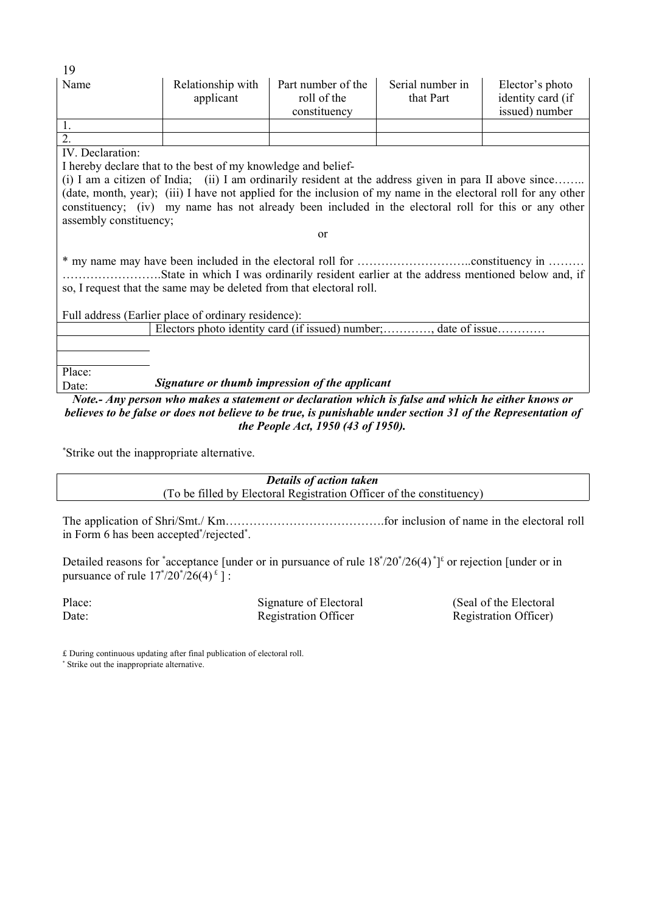| 19                                                                                                                                                              |                                                                                                                |                    |                  |                   |  |  |  |  |
|-----------------------------------------------------------------------------------------------------------------------------------------------------------------|----------------------------------------------------------------------------------------------------------------|--------------------|------------------|-------------------|--|--|--|--|
| Name                                                                                                                                                            | Relationship with                                                                                              | Part number of the | Serial number in | Elector's photo   |  |  |  |  |
|                                                                                                                                                                 | applicant                                                                                                      | roll of the        | that Part        | identity card (if |  |  |  |  |
|                                                                                                                                                                 |                                                                                                                | constituency       |                  | issued) number    |  |  |  |  |
|                                                                                                                                                                 |                                                                                                                |                    |                  |                   |  |  |  |  |
| $\overline{2}$ .                                                                                                                                                |                                                                                                                |                    |                  |                   |  |  |  |  |
| IV. Declaration:                                                                                                                                                |                                                                                                                |                    |                  |                   |  |  |  |  |
|                                                                                                                                                                 | I hereby declare that to the best of my knowledge and belief-                                                  |                    |                  |                   |  |  |  |  |
|                                                                                                                                                                 | (i) I am a citizen of India; (ii) I am ordinarily resident at the address given in para II above since         |                    |                  |                   |  |  |  |  |
|                                                                                                                                                                 | (date, month, year); (iii) I have not applied for the inclusion of my name in the electoral roll for any other |                    |                  |                   |  |  |  |  |
|                                                                                                                                                                 | constituency; (iv) my name has not already been included in the electoral roll for this or any other           |                    |                  |                   |  |  |  |  |
| assembly constituency;                                                                                                                                          |                                                                                                                |                    |                  |                   |  |  |  |  |
|                                                                                                                                                                 | <sub>or</sub>                                                                                                  |                    |                  |                   |  |  |  |  |
| State in which I was ordinarily resident earlier at the address mentioned below and, if<br>so, I request that the same may be deleted from that electoral roll. |                                                                                                                |                    |                  |                   |  |  |  |  |
| Full address (Earlier place of ordinary residence):                                                                                                             |                                                                                                                |                    |                  |                   |  |  |  |  |
|                                                                                                                                                                 | Electors photo identity card (if issued) number; , date of issue                                               |                    |                  |                   |  |  |  |  |
|                                                                                                                                                                 |                                                                                                                |                    |                  |                   |  |  |  |  |
|                                                                                                                                                                 |                                                                                                                |                    |                  |                   |  |  |  |  |
| Place:                                                                                                                                                          |                                                                                                                |                    |                  |                   |  |  |  |  |
| Date:                                                                                                                                                           | Signature or thumb impression of the applicant                                                                 |                    |                  |                   |  |  |  |  |
| Note.- Any person who makes a statement or declaration which is false and which he either knows or                                                              |                                                                                                                |                    |                  |                   |  |  |  |  |

*believes to be false or does not believe to be true, is punishable under section 31 of the Representation of the People Act, 1950 (43 of 1950).*

\*Strike out the inappropriate alternative.

*Details of action taken* (To be filled by Electoral Registration Officer of the constituency)

The application of Shri/Smt./ Km………………………………….for inclusion of name in the electoral roll in Form 6 has been accepted\*/rejected\*.

Detailed reasons for  $\text{*acceptance}$  [under or in pursuance of rule  $18\text{*}/20\text{*}/26(4)\text{*}^1$  or rejection [under or in pursuance of rule  $17^{*}/20^{*}/26(4)^{t}$  ] :

Date: Registration Officer Registration Officer Registration Officer

Place: Signature of Electoral (Seal of the Electoral

£ During continuous updating after final publication of electoral roll. Strike out the inappropriate alternative.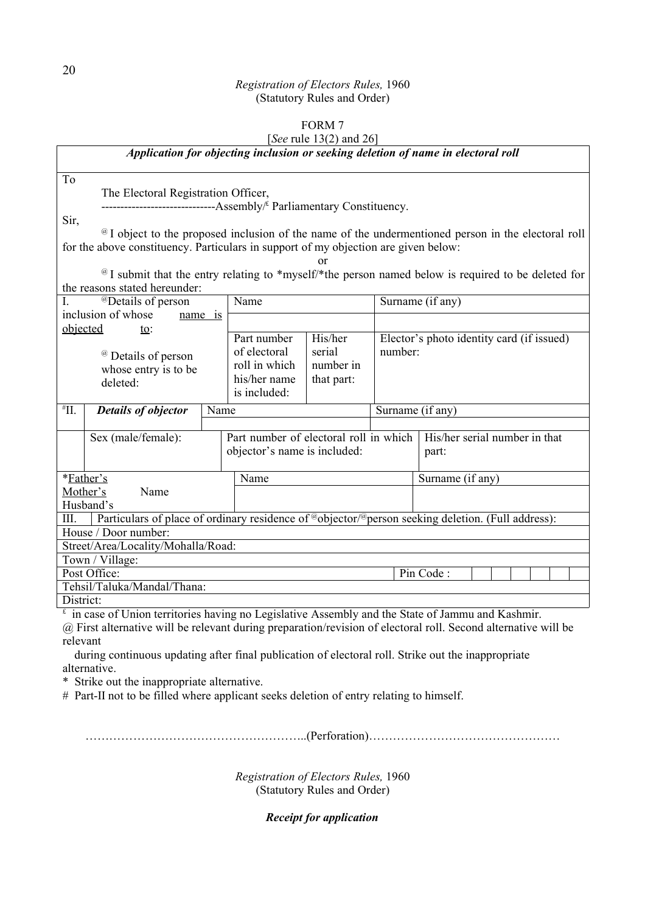# FORM 7

### [*See* rule 13(2) and 26]

*Application for objecting inclusion or seeking deletion of name in electoral roll*

The Electoral Registration Officer,

---------------------------------Assembly<sup>&</sup> Parliamentary Constituency.

Sir,

To

@ I object to the proposed inclusion of the name of the undermentioned person in the electoral roll for the above constituency. Particulars in support of my objection are given below:

or

@ I submit that the entry relating to \*myself/\*the person named below is required to be deleted for the reasons stated hereunder:

| <sup>@</sup> Details of person                                     |                                                                                                |      | Name                                                                                                                                    |  | Surname (if any)                          |                                                                                                   |  |
|--------------------------------------------------------------------|------------------------------------------------------------------------------------------------|------|-----------------------------------------------------------------------------------------------------------------------------------------|--|-------------------------------------------|---------------------------------------------------------------------------------------------------|--|
| inclusion of whose<br>name 1s                                      |                                                                                                |      |                                                                                                                                         |  |                                           |                                                                                                   |  |
| objected<br>to:                                                    |                                                                                                |      |                                                                                                                                         |  |                                           |                                                                                                   |  |
| <sup>@</sup> Details of person<br>whose entry is to be<br>deleted: |                                                                                                |      | His/her<br>Part number<br>number:<br>of electoral<br>serial<br>roll in which<br>number in<br>his/her name<br>that part:<br>is included: |  | Elector's photo identity card (if issued) |                                                                                                   |  |
| $H^*$ II.                                                          | <b>Details of objector</b>                                                                     | Name |                                                                                                                                         |  | Surname (if any)                          |                                                                                                   |  |
|                                                                    |                                                                                                |      |                                                                                                                                         |  |                                           |                                                                                                   |  |
|                                                                    | Sex (male/female):                                                                             |      | Part number of electoral roll in which                                                                                                  |  |                                           | His/her serial number in that                                                                     |  |
|                                                                    |                                                                                                |      | objector's name is included:                                                                                                            |  |                                           | part:                                                                                             |  |
|                                                                    |                                                                                                |      |                                                                                                                                         |  |                                           |                                                                                                   |  |
| *Father's                                                          |                                                                                                |      | Name                                                                                                                                    |  |                                           | Surname (if any)                                                                                  |  |
| Mother's                                                           | Name                                                                                           |      |                                                                                                                                         |  |                                           |                                                                                                   |  |
|                                                                    | Husband's                                                                                      |      |                                                                                                                                         |  |                                           |                                                                                                   |  |
| III.                                                               |                                                                                                |      |                                                                                                                                         |  |                                           | Particulars of place of ordinary residence of @objector/@person seeking deletion. (Full address): |  |
|                                                                    | House / Door number:                                                                           |      |                                                                                                                                         |  |                                           |                                                                                                   |  |
|                                                                    | Street/Area/Locality/Mohalla/Road:                                                             |      |                                                                                                                                         |  |                                           |                                                                                                   |  |
|                                                                    | Town / Village:                                                                                |      |                                                                                                                                         |  |                                           |                                                                                                   |  |
| Post Office:<br>Pin Code:                                          |                                                                                                |      |                                                                                                                                         |  |                                           |                                                                                                   |  |
|                                                                    | Tehsil/Taluka/Mandal/Thana:                                                                    |      |                                                                                                                                         |  |                                           |                                                                                                   |  |
| District:                                                          |                                                                                                |      |                                                                                                                                         |  |                                           |                                                                                                   |  |
|                                                                    | in case of Union territories having no Legislative Assembly and the State of Jammu and Kashmir |      |                                                                                                                                         |  |                                           |                                                                                                   |  |

se of Union territories having no Legislative Assembly and the State of Jammu and Kashmir.

@ First alternative will be relevant during preparation/revision of electoral roll. Second alternative will be relevant

 during continuous updating after final publication of electoral roll. Strike out the inappropriate alternative.

\* Strike out the inappropriate alternative.

# Part-II not to be filled where applicant seeks deletion of entry relating to himself.

………………………………………………..(Perforation)…………………………………………

*Registration of Electors Rules,* 1960 (Statutory Rules and Order)

*Receipt for application*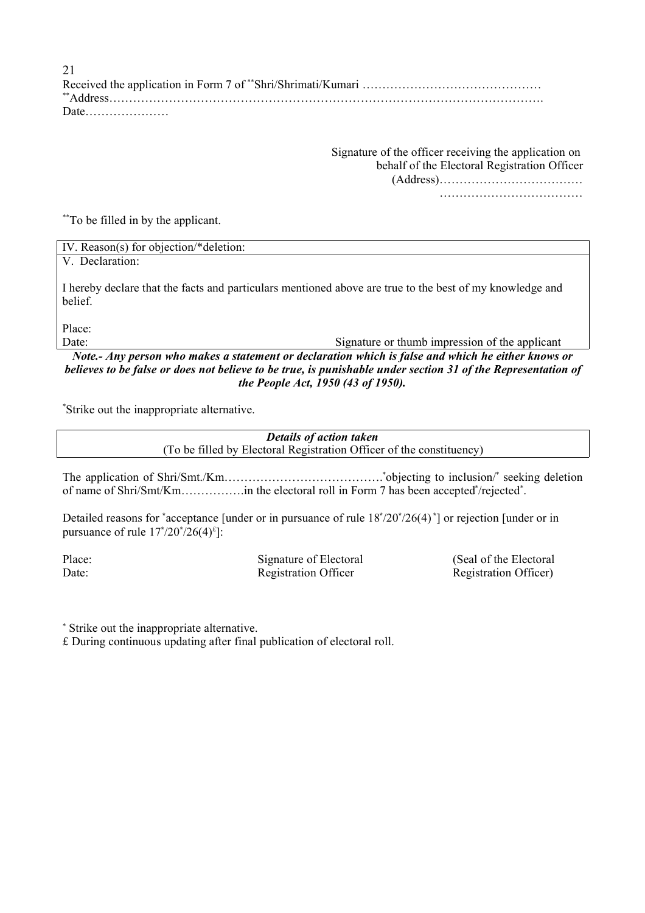Received the application in Form 7 of \*\*Shri/Shrimati/Kumari ………………………………………………… \*\*Address………………………………………………………………………………………………. Date………………… 21

> Signature of the officer receiving the application on behalf of the Electoral Registration Officer (Address)……………………………… ………………………………

\*\*To be filled in by the applicant.

| IV. Reason(s) for objection/*deletion: |  |
|----------------------------------------|--|
| V. Declaration:                        |  |

I hereby declare that the facts and particulars mentioned above are true to the best of my knowledge and belief.

Place:

Date: Signature or thumb impression of the applicant

*Note.- Any person who makes a statement or declaration which is false and which he either knows or believes to be false or does not believe to be true, is punishable under section 31 of the Representation of the People Act, 1950 (43 of 1950).*

\*Strike out the inappropriate alternative.

*Details of action taken* (To be filled by Electoral Registration Officer of the constituency)

The application of Shri/Smt./Km…………………………………. \*objecting to inclusion/ \* seeking deletion of name of Shri/Smt/Km…………….in the electoral roll in Form 7 has been accepted \* /rejected \* .

Detailed reasons for **\*** acceptance [under or in pursuance of rule 18**\*** /20 **\*** /26(4) **\*** ] or rejection [under or in pursuance of rule  $17^{*}/20^{*}/26(4)^{t}$ :

Date: Registration Officer Registration Officer Registration Officer Registration Officer)

Place: Signature of Electoral (Seal of the Electoral

Strike out the inappropriate alternative.

£ During continuous updating after final publication of electoral roll.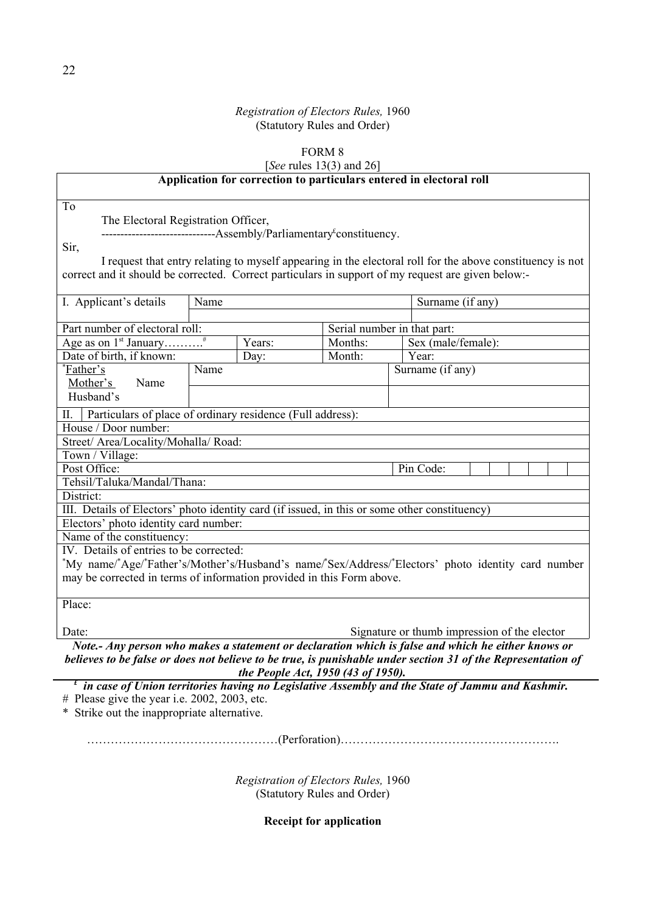# FORM  $8$

[*See* rules 13(3) and 26]

| See rules $13(3)$ and 26                                                                                                                            |                                                                                 |         |                                                                                                              |  |  |  |
|-----------------------------------------------------------------------------------------------------------------------------------------------------|---------------------------------------------------------------------------------|---------|--------------------------------------------------------------------------------------------------------------|--|--|--|
|                                                                                                                                                     | Application for correction to particulars entered in electoral roll             |         |                                                                                                              |  |  |  |
| To                                                                                                                                                  |                                                                                 |         |                                                                                                              |  |  |  |
| The Electoral Registration Officer,                                                                                                                 |                                                                                 |         |                                                                                                              |  |  |  |
|                                                                                                                                                     | ------------------------------Assembly/Parliamentary <sup>£</sup> constituency. |         |                                                                                                              |  |  |  |
| Sir,                                                                                                                                                |                                                                                 |         |                                                                                                              |  |  |  |
|                                                                                                                                                     |                                                                                 |         | I request that entry relating to myself appearing in the electoral roll for the above constituency is not    |  |  |  |
| correct and it should be corrected. Correct particulars in support of my request are given below:-                                                  |                                                                                 |         |                                                                                                              |  |  |  |
|                                                                                                                                                     |                                                                                 |         |                                                                                                              |  |  |  |
| I. Applicant's details                                                                                                                              | Name                                                                            |         | Surname (if any)                                                                                             |  |  |  |
|                                                                                                                                                     |                                                                                 |         |                                                                                                              |  |  |  |
| Part number of electoral roll:                                                                                                                      |                                                                                 |         | Serial number in that part:                                                                                  |  |  |  |
|                                                                                                                                                     | Years:                                                                          | Months: | Sex (male/female):                                                                                           |  |  |  |
| Date of birth, if known:                                                                                                                            | Day:                                                                            | Month:  | Year:                                                                                                        |  |  |  |
| <i>*Eather's</i>                                                                                                                                    | Name                                                                            |         | Surname (if any)                                                                                             |  |  |  |
| Mother's<br>Name<br>Husband's                                                                                                                       |                                                                                 |         |                                                                                                              |  |  |  |
|                                                                                                                                                     |                                                                                 |         |                                                                                                              |  |  |  |
| Н.                                                                                                                                                  | Particulars of place of ordinary residence (Full address):                      |         |                                                                                                              |  |  |  |
| House / Door number:                                                                                                                                |                                                                                 |         |                                                                                                              |  |  |  |
| Street/ Area/Locality/Mohalla/ Road:                                                                                                                |                                                                                 |         |                                                                                                              |  |  |  |
| Town / Village:<br>Post Office:                                                                                                                     |                                                                                 |         | Pin Code:                                                                                                    |  |  |  |
| Tehsil/Taluka/Mandal/Thana:                                                                                                                         |                                                                                 |         |                                                                                                              |  |  |  |
| District:                                                                                                                                           |                                                                                 |         |                                                                                                              |  |  |  |
| III. Details of Electors' photo identity card (if issued, in this or some other constituency)                                                       |                                                                                 |         |                                                                                                              |  |  |  |
| Electors' photo identity card number:                                                                                                               |                                                                                 |         |                                                                                                              |  |  |  |
| Name of the constituency:                                                                                                                           |                                                                                 |         |                                                                                                              |  |  |  |
| IV. Details of entries to be corrected:                                                                                                             |                                                                                 |         |                                                                                                              |  |  |  |
|                                                                                                                                                     |                                                                                 |         | *My name/*Age/*Father's/Mother's/Husband's name/*Sex/Address/*Electors' photo identity card number           |  |  |  |
| may be corrected in terms of information provided in this Form above.                                                                               |                                                                                 |         |                                                                                                              |  |  |  |
|                                                                                                                                                     |                                                                                 |         |                                                                                                              |  |  |  |
| Place:                                                                                                                                              |                                                                                 |         |                                                                                                              |  |  |  |
|                                                                                                                                                     |                                                                                 |         |                                                                                                              |  |  |  |
| Date:                                                                                                                                               |                                                                                 |         | Signature or thumb impression of the elector                                                                 |  |  |  |
|                                                                                                                                                     |                                                                                 |         | Note.- Any person who makes a statement or declaration which is false and which he either knows or           |  |  |  |
|                                                                                                                                                     |                                                                                 |         | believes to be false or does not believe to be true, is punishable under section 31 of the Representation of |  |  |  |
| the People Act, 1950 (43 of 1950).<br>$\frac{t}{t}$ in case of Union territories having no Legislative Assembly and the State of Jammu and Kashmir. |                                                                                 |         |                                                                                                              |  |  |  |

# Please give the year i.e. 2002, 2003, etc.

\* Strike out the inappropriate alternative.

…………………………………………(Perforation)……………………………………………….

*Registration of Electors Rules,* 1960 (Statutory Rules and Order)

**Receipt for application**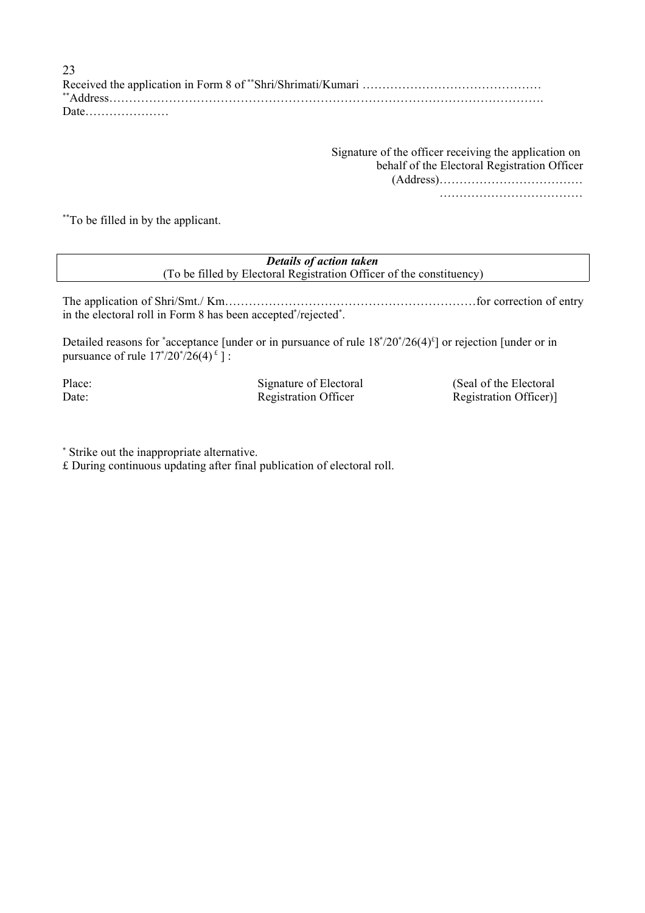Received the application in Form 8 of \*\*Shri/Shrimati/Kumari ………………………………………………… \*\*Address………………………………………………………………………………………………. Date………………… 23

> Signature of the officer receiving the application on behalf of the Electoral Registration Officer (Address)………………………………

> > ………………………………

\*\*\*To be filled in by the applicant.

*Details of action taken* (To be filled by Electoral Registration Officer of the constituency)

The application of Shri/Smt./ Km…………………………………………………………………for correction of entry in the electoral roll in Form 8 has been accepted\*/rejected\*.

Detailed reasons for <sup>\*</sup>acceptance [under or in pursuance of rule  $18^*/20^*/26(4)^4$ ] or rejection [under or in pursuance of rule  $17^*/20^*/26(4)^{2}$  ] :

Place: Signature of Electoral (Seal of the Electoral Date: Registration Officer Registration Officer Registration Officer)

Strike out the inappropriate alternative.

£ During continuous updating after final publication of electoral roll.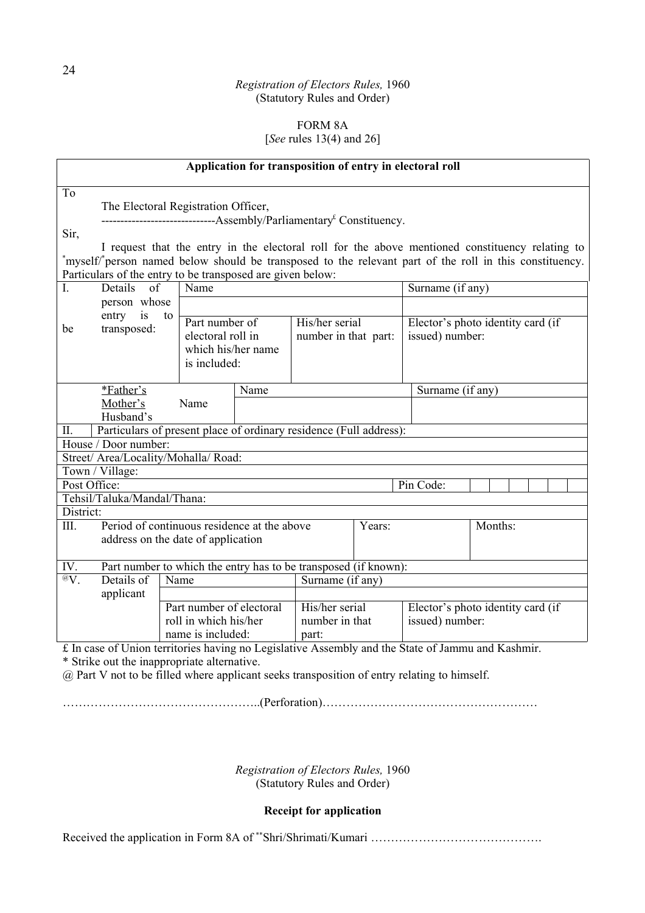### FORM 8A [*See* rules 13(4) and 26]

| Application for transposition of entry in electoral roll                                          |                                                                                 |                          |      |                      |                                                     |                  |                                                                                                         |  |
|---------------------------------------------------------------------------------------------------|---------------------------------------------------------------------------------|--------------------------|------|----------------------|-----------------------------------------------------|------------------|---------------------------------------------------------------------------------------------------------|--|
| To                                                                                                |                                                                                 |                          |      |                      |                                                     |                  |                                                                                                         |  |
|                                                                                                   | The Electoral Registration Officer,                                             |                          |      |                      |                                                     |                  |                                                                                                         |  |
|                                                                                                   | ------------------------------Assembly/Parliamentary <sup>£</sup> Constituency. |                          |      |                      |                                                     |                  |                                                                                                         |  |
| Sir,                                                                                              |                                                                                 |                          |      |                      |                                                     |                  |                                                                                                         |  |
|                                                                                                   |                                                                                 |                          |      |                      |                                                     |                  | I request that the entry in the electoral roll for the above mentioned constituency relating to         |  |
|                                                                                                   |                                                                                 |                          |      |                      |                                                     |                  | *myself/*person named below should be transposed to the relevant part of the roll in this constituency. |  |
|                                                                                                   | Particulars of the entry to be transposed are given below:                      |                          |      |                      |                                                     |                  |                                                                                                         |  |
| I.                                                                                                | Details<br>of                                                                   | Name                     |      |                      |                                                     | Surname (if any) |                                                                                                         |  |
|                                                                                                   | person whose                                                                    |                          |      |                      |                                                     |                  |                                                                                                         |  |
|                                                                                                   | entry<br>is<br>to                                                               | Part number of           |      | His/her serial       |                                                     |                  | Elector's photo identity card (if                                                                       |  |
| be                                                                                                | transposed:                                                                     | electoral roll in        |      | number in that part: |                                                     | issued) number:  |                                                                                                         |  |
|                                                                                                   |                                                                                 | which his/her name       |      |                      |                                                     |                  |                                                                                                         |  |
|                                                                                                   |                                                                                 | is included:             |      |                      |                                                     |                  |                                                                                                         |  |
|                                                                                                   |                                                                                 |                          |      |                      |                                                     |                  |                                                                                                         |  |
|                                                                                                   | *Father's                                                                       |                          | Name |                      |                                                     | Surname (if any) |                                                                                                         |  |
|                                                                                                   | Mother's                                                                        | Name                     |      |                      |                                                     |                  |                                                                                                         |  |
|                                                                                                   | Husband's                                                                       |                          |      |                      |                                                     |                  |                                                                                                         |  |
| П.                                                                                                | Particulars of present place of ordinary residence (Full address):              |                          |      |                      |                                                     |                  |                                                                                                         |  |
|                                                                                                   | House / Door number:                                                            |                          |      |                      |                                                     |                  |                                                                                                         |  |
|                                                                                                   | Street/ Area/Locality/Mohalla/ Road:                                            |                          |      |                      |                                                     |                  |                                                                                                         |  |
| Town / Village:                                                                                   |                                                                                 |                          |      |                      |                                                     |                  |                                                                                                         |  |
| Post Office:                                                                                      |                                                                                 |                          |      |                      |                                                     | Pin Code:        |                                                                                                         |  |
|                                                                                                   | Tehsil/Taluka/Mandal/Thana:                                                     |                          |      |                      |                                                     |                  |                                                                                                         |  |
| District:                                                                                         |                                                                                 |                          |      |                      |                                                     |                  |                                                                                                         |  |
| III.                                                                                              | Period of continuous residence at the above                                     |                          |      |                      | Years:                                              |                  | Months:                                                                                                 |  |
|                                                                                                   | address on the date of application                                              |                          |      |                      |                                                     |                  |                                                                                                         |  |
| IV.                                                                                               | Part number to which the entry has to be transposed (if known):                 |                          |      |                      |                                                     |                  |                                                                                                         |  |
| $\overline{^{\omega}}\overline{V}$ .                                                              | Details of                                                                      | Name                     |      | Surname (if any)     |                                                     |                  |                                                                                                         |  |
|                                                                                                   | applicant                                                                       |                          |      |                      |                                                     |                  |                                                                                                         |  |
|                                                                                                   |                                                                                 | Part number of electoral |      |                      | His/her serial<br>Elector's photo identity card (if |                  |                                                                                                         |  |
|                                                                                                   |                                                                                 | roll in which his/her    |      | number in that       |                                                     | issued) number:  |                                                                                                         |  |
|                                                                                                   |                                                                                 | name is included:        |      | part:                |                                                     |                  |                                                                                                         |  |
| £ In case of Union territories having no Legislative Assembly and the State of Jammu and Kashmir. |                                                                                 |                          |      |                      |                                                     |                  |                                                                                                         |  |

<sup>2</sup> In case of Union territories naving no Let  $*$  Strike out the inappropriate alternative.

@ Part V not to be filled where applicant seeks transposition of entry relating to himself.

…………………………………………..(Perforation)………………………………………………

*Registration of Electors Rules,* 1960 (Statutory Rules and Order)

### **Receipt for application**

Received the application in Form 8A of \*\*Shri/Shrimati/Kumari ………………………………………………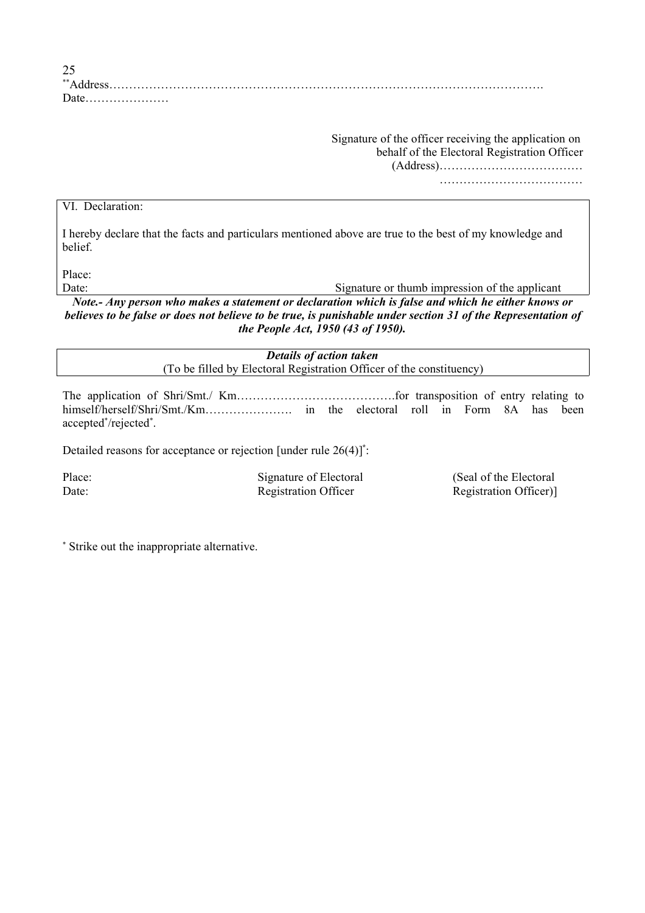| $\bigcap$<br>نەك |  |
|------------------|--|
| **Address        |  |
| Date             |  |

Signature of the officer receiving the application on behalf of the Electoral Registration Officer

(Address)………………………………

………………………………

#### VI. Declaration:

I hereby declare that the facts and particulars mentioned above are true to the best of my knowledge and belief.

Place:

Date: Signature or thumb impression of the applicant

*Note.- Any person who makes a statement or declaration which is false and which he either knows or believes to be false or does not believe to be true, is punishable under section 31 of the Representation of the People Act, 1950 (43 of 1950).*

> *Details of action taken* (To be filled by Electoral Registration Officer of the constituency)

The application of Shri/Smt./ Km………………………………….for transposition of entry relating to himself/herself/Shri/Smt./Km…………………. in the electoral roll in Form 8A has been accepted\*/rejected\*.

Detailed reasons for acceptance or rejection [under rule 26(4)] **\*** :

Place: Signature of Electoral (Seal of the Electoral Theorem is not see Signature of Electoral Geal of the Electoral Date: Registration Officer Registration Officer Registration Officer)

Strike out the inappropriate alternative.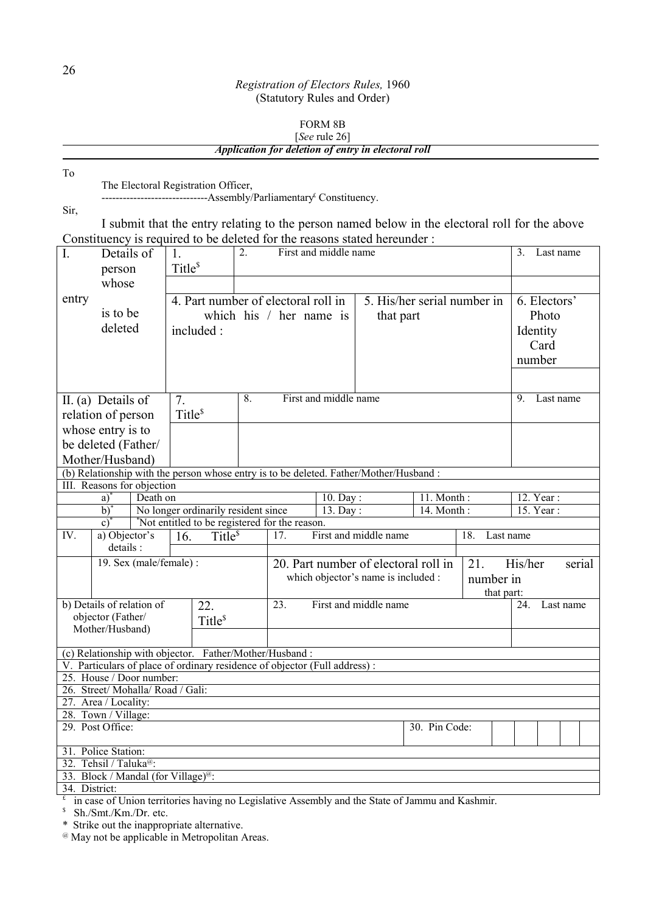### FORM 8B [*See* rule 26] *Application for deletion of entry in electoral roll*

| To                 |                                                                                                                     |                     |                                     |    |                                                |                       |                                      |                             |            |                                                                                                |
|--------------------|---------------------------------------------------------------------------------------------------------------------|---------------------|-------------------------------------|----|------------------------------------------------|-----------------------|--------------------------------------|-----------------------------|------------|------------------------------------------------------------------------------------------------|
|                    | The Electoral Registration Officer,<br>---------------------------Assembly/Parliamentary <sup>£</sup> Constituency. |                     |                                     |    |                                                |                       |                                      |                             |            |                                                                                                |
| Sir,               |                                                                                                                     |                     |                                     |    |                                                |                       |                                      |                             |            |                                                                                                |
|                    |                                                                                                                     |                     |                                     |    |                                                |                       |                                      |                             |            | I submit that the entry relating to the person named below in the electoral roll for the above |
|                    | Constituency is required to be deleted for the reasons stated hereunder:                                            |                     |                                     |    |                                                |                       |                                      |                             |            |                                                                                                |
| I.                 | Details of                                                                                                          | 1.                  |                                     | 2. |                                                | First and middle name |                                      |                             |            | 3.<br>Last name                                                                                |
|                    | person                                                                                                              | Title <sup>\$</sup> |                                     |    |                                                |                       |                                      |                             |            |                                                                                                |
|                    | whose                                                                                                               |                     |                                     |    |                                                |                       |                                      |                             |            |                                                                                                |
| entry              |                                                                                                                     |                     |                                     |    |                                                |                       |                                      |                             |            |                                                                                                |
|                    | is to be                                                                                                            |                     |                                     |    | 4. Part number of electoral roll in            |                       |                                      | 5. His/her serial number in |            | 6. Electors'                                                                                   |
|                    | deleted                                                                                                             |                     |                                     |    | which his / her name is                        |                       | that part                            |                             |            | Photo                                                                                          |
|                    |                                                                                                                     | included:           |                                     |    |                                                |                       |                                      |                             |            | Identity                                                                                       |
|                    |                                                                                                                     |                     |                                     |    |                                                |                       |                                      |                             |            | Card                                                                                           |
|                    |                                                                                                                     |                     |                                     |    |                                                |                       |                                      |                             |            | number                                                                                         |
|                    |                                                                                                                     |                     |                                     |    |                                                |                       |                                      |                             |            |                                                                                                |
|                    | II. (a) Details of                                                                                                  | 7.                  |                                     | 8. |                                                | First and middle name |                                      |                             |            | 9.<br>Last name                                                                                |
|                    |                                                                                                                     | Title <sup>\$</sup> |                                     |    |                                                |                       |                                      |                             |            |                                                                                                |
|                    | relation of person                                                                                                  |                     |                                     |    |                                                |                       |                                      |                             |            |                                                                                                |
|                    | whose entry is to                                                                                                   |                     |                                     |    |                                                |                       |                                      |                             |            |                                                                                                |
|                    | be deleted (Father/                                                                                                 |                     |                                     |    |                                                |                       |                                      |                             |            |                                                                                                |
|                    | Mother/Husband)                                                                                                     |                     |                                     |    |                                                |                       |                                      |                             |            |                                                                                                |
|                    | (b) Relationship with the person whose entry is to be deleted. Father/Mother/Husband:<br>III. Reasons for objection |                     |                                     |    |                                                |                       |                                      |                             |            |                                                                                                |
|                    | Death on<br>a)                                                                                                      |                     |                                     |    |                                                | 10. Day:              |                                      | $\overline{11}$ . Month:    |            | 12. Year:                                                                                      |
|                    | $b)$ <sup>*</sup>                                                                                                   |                     | No longer ordinarily resident since |    |                                                | 13. Day:              |                                      | 14. Month:                  |            | 15. Year:                                                                                      |
|                    | $c^*$                                                                                                               |                     |                                     |    | *Not entitled to be registered for the reason. |                       |                                      |                             |            |                                                                                                |
| IV.                | a) Objector's                                                                                                       | 16.                 | Title <sup>\$</sup>                 |    | 17.                                            |                       | First and middle name                |                             | 18.        | Last name                                                                                      |
|                    | details :                                                                                                           |                     |                                     |    |                                                |                       |                                      |                             |            |                                                                                                |
|                    | 19. Sex (male/female) :                                                                                             |                     |                                     |    |                                                |                       | 20. Part number of electoral roll in |                             | 21.        | His/her<br>serial                                                                              |
|                    |                                                                                                                     |                     |                                     |    |                                                |                       | which objector's name is included :  |                             | number in  |                                                                                                |
|                    |                                                                                                                     |                     |                                     |    |                                                |                       |                                      |                             | that part: |                                                                                                |
|                    | b) Details of relation of                                                                                           |                     | 22.                                 |    | 23.                                            |                       | First and middle name                |                             |            | 24.<br>Last name                                                                               |
|                    | objector (Father/<br>Mother/Husband)                                                                                |                     | Title <sup>\$</sup>                 |    |                                                |                       |                                      |                             |            |                                                                                                |
|                    |                                                                                                                     |                     |                                     |    |                                                |                       |                                      |                             |            |                                                                                                |
|                    | (c) Relationship with objector. Father/Mother/Husband:                                                              |                     |                                     |    |                                                |                       |                                      |                             |            |                                                                                                |
|                    | V. Particulars of place of ordinary residence of objector (Full address):                                           |                     |                                     |    |                                                |                       |                                      |                             |            |                                                                                                |
|                    | 25. House / Door number:                                                                                            |                     |                                     |    |                                                |                       |                                      |                             |            |                                                                                                |
|                    | 26. Street/Mohalla/Road / Gali:                                                                                     |                     |                                     |    |                                                |                       |                                      |                             |            |                                                                                                |
|                    | 27. Area / Locality:<br>28. Town / Village:                                                                         |                     |                                     |    |                                                |                       |                                      |                             |            |                                                                                                |
|                    | 29. Post Office:                                                                                                    |                     |                                     |    |                                                |                       |                                      | 30. Pin Code:               |            |                                                                                                |
|                    |                                                                                                                     |                     |                                     |    |                                                |                       |                                      |                             |            |                                                                                                |
|                    | 31. Police Station:                                                                                                 |                     |                                     |    |                                                |                       |                                      |                             |            |                                                                                                |
|                    | 32. Tehsil / Taluka <sup>@</sup> :                                                                                  |                     |                                     |    |                                                |                       |                                      |                             |            |                                                                                                |
|                    | 33. Block / Mandal (for Village) <sup>@</sup> :                                                                     |                     |                                     |    |                                                |                       |                                      |                             |            |                                                                                                |
| 34. District:<br>£ | in case of Union territories having no Legislative Assembly and the State of Jammu and Kashmir.                     |                     |                                     |    |                                                |                       |                                      |                             |            |                                                                                                |
|                    |                                                                                                                     |                     |                                     |    |                                                |                       |                                      |                             |            |                                                                                                |

 $\frac{1}{s}$  Sh./Smt./Km./Dr. etc.

\* Strike out the inappropriate alternative.

<sup>@</sup> May not be applicable in Metropolitan Areas.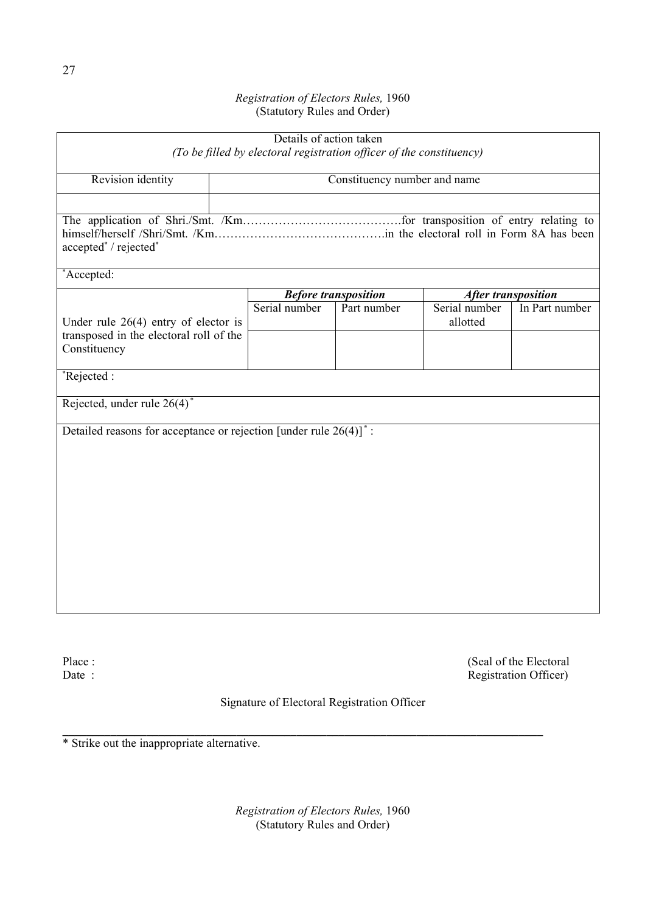| Details of action taken<br>(To be filled by electoral registration officer of the constituency) |               |                             |                            |                |  |  |  |  |  |  |
|-------------------------------------------------------------------------------------------------|---------------|-----------------------------|----------------------------|----------------|--|--|--|--|--|--|
| Constituency number and name<br>Revision identity                                               |               |                             |                            |                |  |  |  |  |  |  |
|                                                                                                 |               |                             |                            |                |  |  |  |  |  |  |
| accepted*/rejected*                                                                             |               |                             |                            |                |  |  |  |  |  |  |
| *Accepted:                                                                                      |               |                             |                            |                |  |  |  |  |  |  |
|                                                                                                 |               | <b>Before transposition</b> | <b>After transposition</b> |                |  |  |  |  |  |  |
| Under rule $26(4)$ entry of elector is                                                          | Serial number | Part number                 | Serial number<br>allotted  | In Part number |  |  |  |  |  |  |
| transposed in the electoral roll of the<br>Constituency                                         |               |                             |                            |                |  |  |  |  |  |  |
| $*$ Rejected:                                                                                   |               |                             |                            |                |  |  |  |  |  |  |
| Rejected, under rule $26(4)^*$                                                                  |               |                             |                            |                |  |  |  |  |  |  |
| Detailed reasons for acceptance or rejection [under rule $26(4)$ ] <sup>*</sup> :               |               |                             |                            |                |  |  |  |  |  |  |

Place :<br>
Date :<br>
Date :<br>
Place :<br>
Place :<br>
Place :<br>
Place :<br>
Place :<br>
Place :<br>
Place :<br>
Place :<br>
Place :<br>
Place :<br>
Place :<br>
Place :<br>
Place :<br>
Place :<br>
Place :<br>
Place :<br>
Place :<br>
Place :<br>
Place :<br>
Place :<br>
Place :<br>
Place :<br> Registration Officer)

Signature of Electoral Registration Officer

\* Strike out the inappropriate alternative.

*Registration of Electors Rules,* 1960 (Statutory Rules and Order)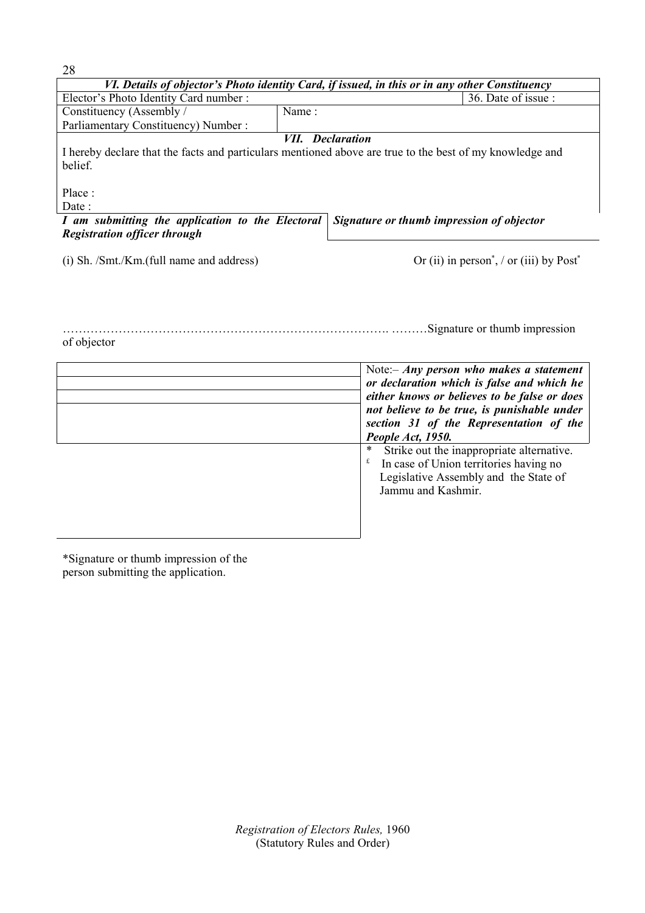| 28                                                                                             |       |                                                                                                          |  |  |  |  |  |  |  |
|------------------------------------------------------------------------------------------------|-------|----------------------------------------------------------------------------------------------------------|--|--|--|--|--|--|--|
| VI. Details of objector's Photo identity Card, if issued, in this or in any other Constituency |       |                                                                                                          |  |  |  |  |  |  |  |
| Elector's Photo Identity Card number:                                                          |       | 36. Date of issue :                                                                                      |  |  |  |  |  |  |  |
| Constituency (Assembly /                                                                       | Name: |                                                                                                          |  |  |  |  |  |  |  |
| Parliamentary Constituency) Number:                                                            |       |                                                                                                          |  |  |  |  |  |  |  |
|                                                                                                |       | <b>VII.</b> Declaration                                                                                  |  |  |  |  |  |  |  |
|                                                                                                |       | I hereby declare that the facts and particulars mentioned above are true to the best of my knowledge and |  |  |  |  |  |  |  |
| belief.                                                                                        |       |                                                                                                          |  |  |  |  |  |  |  |
|                                                                                                |       |                                                                                                          |  |  |  |  |  |  |  |
| Place:                                                                                         |       |                                                                                                          |  |  |  |  |  |  |  |
| Date :                                                                                         |       |                                                                                                          |  |  |  |  |  |  |  |
| I am submitting the application to the Electoral                                               |       | Signature or thumb impression of objector                                                                |  |  |  |  |  |  |  |
| <b>Registration officer through</b>                                                            |       |                                                                                                          |  |  |  |  |  |  |  |
|                                                                                                |       |                                                                                                          |  |  |  |  |  |  |  |
| (i) Sh. /Smt./Km.(full name and address)                                                       |       | Or (ii) in person <sup>*</sup> , / or (iii) by $Post^*$                                                  |  |  |  |  |  |  |  |

………………………………………………………………………. ………Signature or thumb impression of objector

| Note: $-Any$ person who makes a statement<br>or declaration which is false and which he<br>either knows or believes to be false or does<br>not believe to be true, is punishable under<br>section 31 of the Representation of the<br>People Act, 1950. |
|--------------------------------------------------------------------------------------------------------------------------------------------------------------------------------------------------------------------------------------------------------|
| Strike out the inappropriate alternative.<br>∗<br>In case of Union territories having no<br>Legislative Assembly and the State of<br>Jammu and Kashmir.                                                                                                |

\*Signature or thumb impression of the person submitting the application.

> *Registration of Electors Rules,* 1960 (Statutory Rules and Order)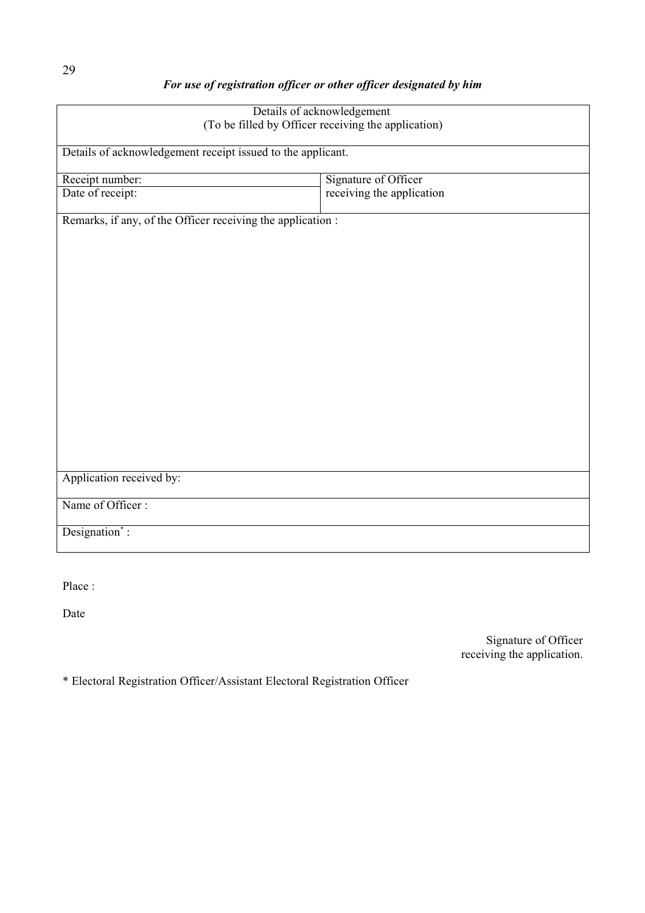# *For use of registration officer or other officer designated by him*

| Details of acknowledgement<br>(To be filled by Officer receiving the application) |                           |  |  |  |  |  |
|-----------------------------------------------------------------------------------|---------------------------|--|--|--|--|--|
| Details of acknowledgement receipt issued to the applicant.                       |                           |  |  |  |  |  |
| Receipt number:                                                                   | Signature of Officer      |  |  |  |  |  |
| Date of receipt:                                                                  | receiving the application |  |  |  |  |  |
| Remarks, if any, of the Officer receiving the application :                       |                           |  |  |  |  |  |
|                                                                                   |                           |  |  |  |  |  |
|                                                                                   |                           |  |  |  |  |  |
|                                                                                   |                           |  |  |  |  |  |
|                                                                                   |                           |  |  |  |  |  |
|                                                                                   |                           |  |  |  |  |  |
|                                                                                   |                           |  |  |  |  |  |
|                                                                                   |                           |  |  |  |  |  |
|                                                                                   |                           |  |  |  |  |  |
|                                                                                   |                           |  |  |  |  |  |
|                                                                                   |                           |  |  |  |  |  |
| Application received by:                                                          |                           |  |  |  |  |  |
| Name of Officer:                                                                  |                           |  |  |  |  |  |
| Designation*:                                                                     |                           |  |  |  |  |  |

Place :

Date

Signature of Officer receiving the application.

\* Electoral Registration Officer/Assistant Electoral Registration Officer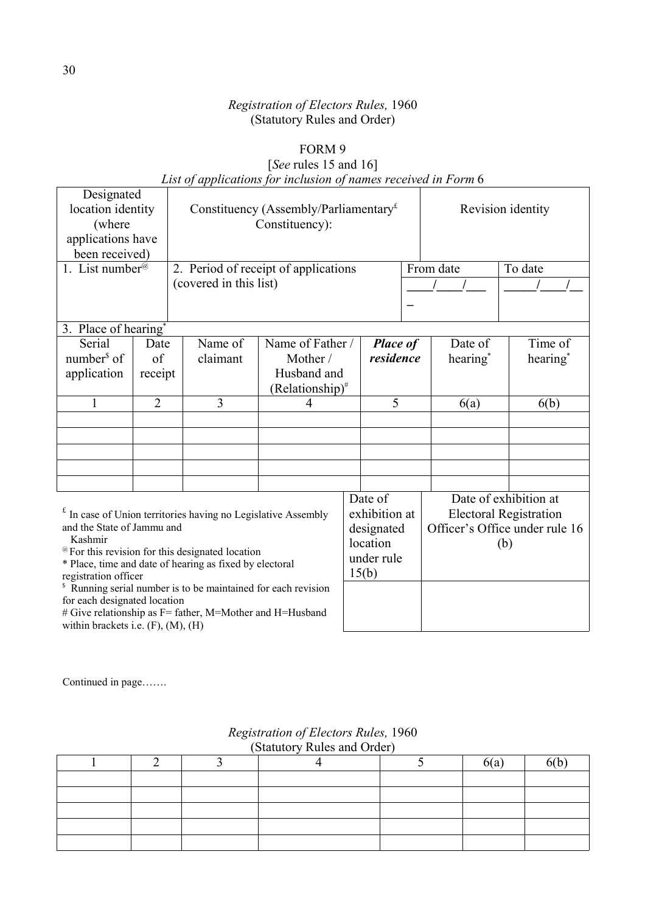## FORM 9

# [*See* rules 15 and 16] *List of applications for inclusion of names received in Form* 6

| Designated                                 |                |                                                                           |                                                                                  |  |                 |           |                       |                                |  |
|--------------------------------------------|----------------|---------------------------------------------------------------------------|----------------------------------------------------------------------------------|--|-----------------|-----------|-----------------------|--------------------------------|--|
| location identity<br>(where                |                |                                                                           | Constituency (Assembly/Parliamentary <sup><math>£</math></sup><br>Constituency): |  |                 |           |                       | Revision identity              |  |
| applications have                          |                |                                                                           |                                                                                  |  |                 |           |                       |                                |  |
| been received)                             |                |                                                                           |                                                                                  |  |                 |           |                       |                                |  |
| 1. List number <sup>@</sup>                |                | 2. Period of receipt of applications                                      |                                                                                  |  |                 | From date | To date               |                                |  |
| (covered in this list)                     |                |                                                                           |                                                                                  |  |                 |           |                       |                                |  |
|                                            |                |                                                                           |                                                                                  |  |                 |           |                       |                                |  |
| 3. Place of hearing <sup>*</sup>           |                |                                                                           |                                                                                  |  |                 |           |                       |                                |  |
| Serial                                     | Date           | Name of                                                                   | Name of Father /                                                                 |  | <b>Place of</b> |           | Date of               | Time of                        |  |
| number $\delta$ of                         | of             | claimant                                                                  | Mother /                                                                         |  | residence       |           | hearing*              | hearing <sup>*</sup>           |  |
| application                                | receipt        |                                                                           | Husband and                                                                      |  |                 |           |                       |                                |  |
|                                            |                |                                                                           | $(Relationship)^*$                                                               |  |                 |           |                       |                                |  |
| 1                                          | $\overline{2}$ | 3                                                                         | $\overline{4}$                                                                   |  | 5               |           | 6(a)                  | 6(b)                           |  |
|                                            |                |                                                                           |                                                                                  |  |                 |           |                       |                                |  |
|                                            |                |                                                                           |                                                                                  |  |                 |           |                       |                                |  |
|                                            |                |                                                                           |                                                                                  |  |                 |           |                       |                                |  |
|                                            |                |                                                                           |                                                                                  |  |                 |           |                       |                                |  |
|                                            |                |                                                                           |                                                                                  |  |                 |           |                       |                                |  |
|                                            |                |                                                                           |                                                                                  |  | Date of         |           | Date of exhibition at |                                |  |
|                                            |                | $f$ In case of Union territories having no Legislative Assembly           |                                                                                  |  | exhibition at   |           |                       | <b>Electoral Registration</b>  |  |
| and the State of Jammu and<br>Kashmir      |                |                                                                           |                                                                                  |  | designated      |           |                       | Officer's Office under rule 16 |  |
|                                            |                | <sup>@</sup> For this revision for this designated location               |                                                                                  |  | location        |           |                       | (b)                            |  |
|                                            |                | * Place, time and date of hearing as fixed by electoral                   |                                                                                  |  | under rule      |           |                       |                                |  |
| registration officer                       |                | <sup>\$</sup> Running serial number is to be maintained for each revision |                                                                                  |  | 15(b)           |           |                       |                                |  |
| for each designated location               |                |                                                                           |                                                                                  |  |                 |           |                       |                                |  |
|                                            |                | # Give relationship as F= father, M=Mother and H=Husband                  |                                                                                  |  |                 |           |                       |                                |  |
| within brackets i.e. $(F)$ , $(M)$ , $(H)$ |                |                                                                           |                                                                                  |  |                 |           |                       |                                |  |

Continued in page…….

| (Statutory Rules and Order) |  |  |  |     |     |  |  |  |  |  |  |
|-----------------------------|--|--|--|-----|-----|--|--|--|--|--|--|
|                             |  |  |  | 6(a | 6(b |  |  |  |  |  |  |
|                             |  |  |  |     |     |  |  |  |  |  |  |
|                             |  |  |  |     |     |  |  |  |  |  |  |
|                             |  |  |  |     |     |  |  |  |  |  |  |
|                             |  |  |  |     |     |  |  |  |  |  |  |
|                             |  |  |  |     |     |  |  |  |  |  |  |

# *Registration of Electors Rules,* 1960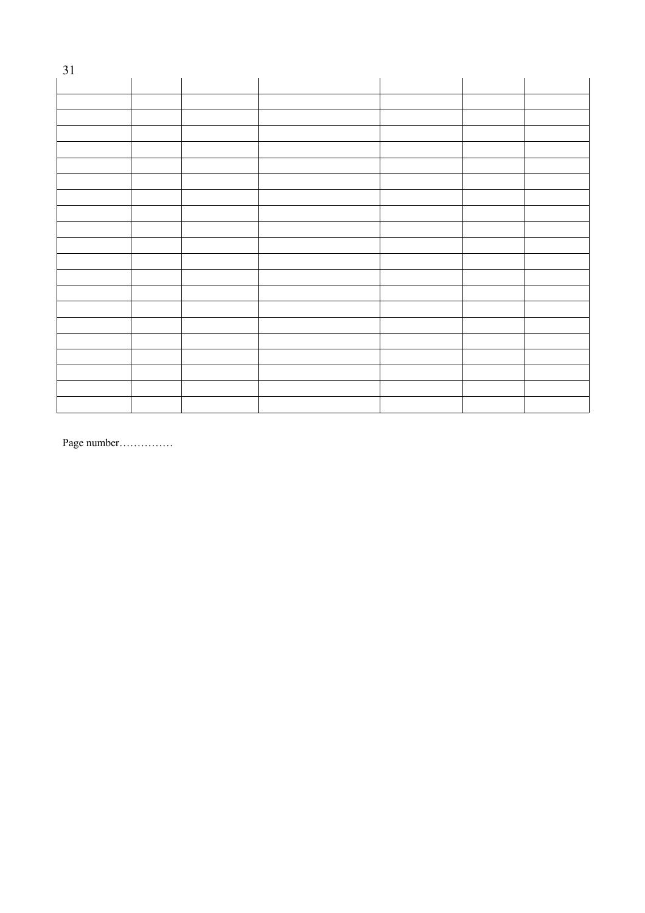| 31 |  |  |  |
|----|--|--|--|
|    |  |  |  |
|    |  |  |  |
|    |  |  |  |
|    |  |  |  |
|    |  |  |  |
|    |  |  |  |
|    |  |  |  |
|    |  |  |  |
|    |  |  |  |
|    |  |  |  |
|    |  |  |  |
|    |  |  |  |
|    |  |  |  |
|    |  |  |  |
|    |  |  |  |
|    |  |  |  |
|    |  |  |  |
|    |  |  |  |
|    |  |  |  |
|    |  |  |  |
|    |  |  |  |

Page number……………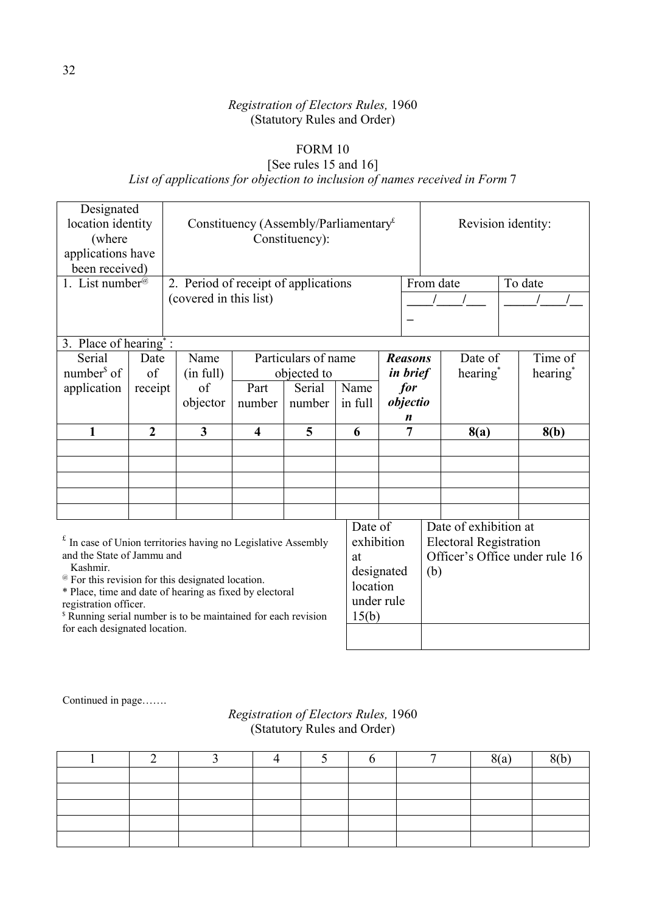# FORM 10

# [See rules 15 and 16] *List of applications for objection to inclusion of names received in Form* 7

| Designated<br>location identity                                                                            |                        |                                      | Constituency (Assembly/Parliamentary <sup><math>E</math></sup> |                     |            |                  |           | Revision identity:            |  |                                |
|------------------------------------------------------------------------------------------------------------|------------------------|--------------------------------------|----------------------------------------------------------------|---------------------|------------|------------------|-----------|-------------------------------|--|--------------------------------|
| (where                                                                                                     |                        |                                      |                                                                |                     |            |                  |           |                               |  |                                |
| applications have                                                                                          |                        |                                      |                                                                | Constituency):      |            |                  |           |                               |  |                                |
| been received)                                                                                             |                        |                                      |                                                                |                     |            |                  |           |                               |  |                                |
| 1. List number <sup>@</sup>                                                                                |                        | 2. Period of receipt of applications |                                                                |                     |            |                  | From date |                               |  | To date                        |
|                                                                                                            | (covered in this list) |                                      |                                                                |                     |            |                  |           |                               |  |                                |
|                                                                                                            |                        |                                      |                                                                |                     |            |                  |           |                               |  |                                |
| 3. Place of hearing <sup>*</sup> :                                                                         |                        |                                      |                                                                |                     |            |                  |           |                               |  |                                |
| Serial                                                                                                     | Date                   | Name                                 |                                                                | Particulars of name |            | <b>Reasons</b>   |           | Date of                       |  | Time of                        |
| number $\delta$ of                                                                                         | of                     | (in full)                            |                                                                | objected to         |            | <i>in brief</i>  |           | hearing <sup>*</sup>          |  | hearing <sup>*</sup>           |
| application                                                                                                | receipt                | of                                   | Part                                                           | Serial              | Name       | for              |           |                               |  |                                |
|                                                                                                            |                        | objector                             | number                                                         | number              | in full    | objectio         |           |                               |  |                                |
|                                                                                                            |                        |                                      |                                                                |                     |            | $\boldsymbol{n}$ |           |                               |  |                                |
|                                                                                                            |                        |                                      | 5<br>$\overline{\mathbf{4}}$                                   |                     |            | 7                |           | 8(a)                          |  | 8(b)                           |
| $\mathbf{1}$                                                                                               | $\overline{2}$         | $\overline{\mathbf{3}}$              |                                                                |                     | 6          |                  |           |                               |  |                                |
|                                                                                                            |                        |                                      |                                                                |                     |            |                  |           |                               |  |                                |
|                                                                                                            |                        |                                      |                                                                |                     |            |                  |           |                               |  |                                |
|                                                                                                            |                        |                                      |                                                                |                     |            |                  |           |                               |  |                                |
|                                                                                                            |                        |                                      |                                                                |                     |            |                  |           |                               |  |                                |
|                                                                                                            |                        |                                      |                                                                |                     |            |                  |           |                               |  |                                |
|                                                                                                            |                        |                                      |                                                                |                     | Date of    |                  |           | Date of exhibition at         |  |                                |
| $f$ In case of Union territories having no Legislative Assembly                                            |                        |                                      |                                                                |                     | exhibition |                  |           | <b>Electoral Registration</b> |  |                                |
| and the State of Jammu and                                                                                 |                        |                                      |                                                                |                     | at         |                  |           |                               |  | Officer's Office under rule 16 |
| Kashmir.<br><sup>@</sup> For this revision for this designated location.                                   |                        |                                      |                                                                |                     |            | designated       | (b)       |                               |  |                                |
| * Place, time and date of hearing as fixed by electoral                                                    |                        |                                      |                                                                |                     | location   |                  |           |                               |  |                                |
| registration officer.                                                                                      |                        |                                      |                                                                |                     | under rule |                  |           |                               |  |                                |
| <sup>\$</sup> Running serial number is to be maintained for each revision<br>for each designated location. |                        |                                      |                                                                |                     | 15(b)      |                  |           |                               |  |                                |

Continued in page…….

# *Registration of Electors Rules,* 1960 (Statutory Rules and Order)

|  |  |  | $\Omega$<br>$\sim$ | $\Omega$ |
|--|--|--|--------------------|----------|
|  |  |  |                    |          |
|  |  |  |                    |          |
|  |  |  |                    |          |
|  |  |  |                    |          |
|  |  |  |                    |          |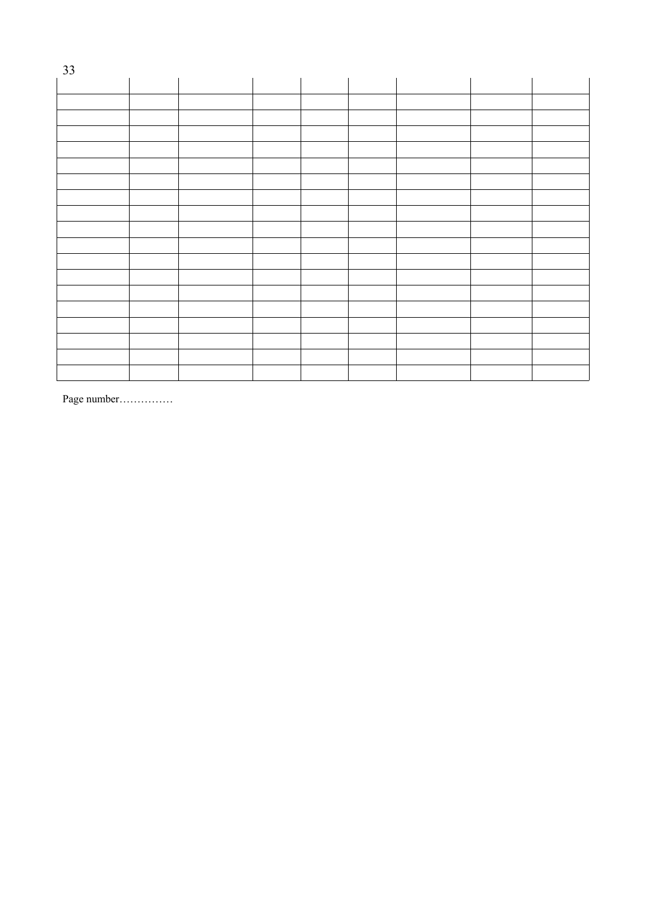| 33 |  |  |  |  |
|----|--|--|--|--|
|    |  |  |  |  |
|    |  |  |  |  |
|    |  |  |  |  |
|    |  |  |  |  |
|    |  |  |  |  |
|    |  |  |  |  |
|    |  |  |  |  |
|    |  |  |  |  |
|    |  |  |  |  |
|    |  |  |  |  |
|    |  |  |  |  |
|    |  |  |  |  |
|    |  |  |  |  |
|    |  |  |  |  |
|    |  |  |  |  |
|    |  |  |  |  |
|    |  |  |  |  |
|    |  |  |  |  |
|    |  |  |  |  |

Page number……………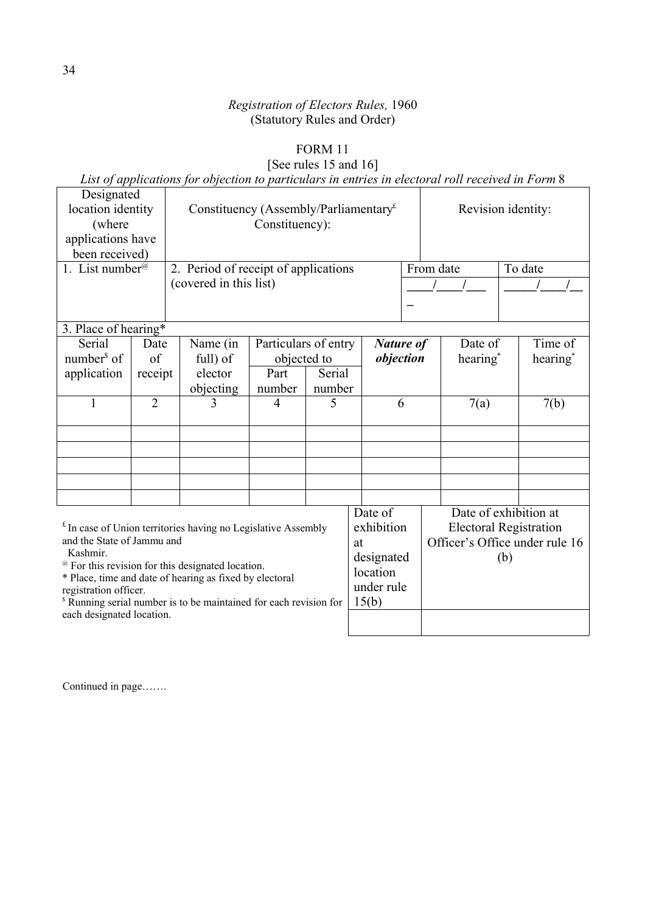# FORM 11

# [See rules 15 and 16]

*List of applications for objection to particulars in entries in electoral roll received in Form* 8

| Designated<br>location identity<br>(where<br>applications have<br>been received)<br>1. List number <sup>@</sup>         |                | 2. Period of receipt of applications<br>(covered in this list) | Constituency (Assembly/Parliamentary $f$<br>Constituency): |            |                                |                  | Revision identity:<br>From date<br>To date |      |                      |  |
|-------------------------------------------------------------------------------------------------------------------------|----------------|----------------------------------------------------------------|------------------------------------------------------------|------------|--------------------------------|------------------|--------------------------------------------|------|----------------------|--|
|                                                                                                                         |                |                                                                |                                                            |            |                                |                  |                                            |      |                      |  |
| 3. Place of hearing*                                                                                                    |                |                                                                |                                                            |            |                                |                  |                                            |      |                      |  |
| Serial                                                                                                                  | Date           | Name (in                                                       | Particulars of entry                                       |            |                                | <b>Nature of</b> | Date of                                    |      | Time of              |  |
| number $\delta$ of                                                                                                      | $\sigma$ f     | full) of                                                       | objected to                                                |            | objection                      |                  | hearing <sup>*</sup>                       |      | hearing <sup>*</sup> |  |
| application                                                                                                             | receipt        | elector                                                        | Part                                                       | Serial     |                                |                  |                                            |      |                      |  |
|                                                                                                                         |                | objecting                                                      | number                                                     | number     |                                |                  |                                            |      | 7(b)                 |  |
| 1                                                                                                                       | $\overline{2}$ | 3                                                              | $\overline{4}$                                             | 5          |                                | 6                |                                            | 7(a) |                      |  |
|                                                                                                                         |                |                                                                |                                                            |            |                                |                  |                                            |      |                      |  |
|                                                                                                                         |                |                                                                |                                                            |            |                                |                  |                                            |      |                      |  |
|                                                                                                                         |                |                                                                |                                                            |            |                                |                  |                                            |      |                      |  |
|                                                                                                                         |                |                                                                |                                                            |            |                                |                  |                                            |      |                      |  |
|                                                                                                                         |                |                                                                |                                                            |            |                                |                  |                                            |      |                      |  |
|                                                                                                                         |                |                                                                |                                                            |            | Date of                        |                  | Date of exhibition at                      |      |                      |  |
|                                                                                                                         |                |                                                                |                                                            |            | exhibition                     |                  | <b>Electoral Registration</b>              |      |                      |  |
| $f$ In case of Union territories having no Legislative Assembly<br>and the State of Jammu and<br>at                     |                |                                                                |                                                            |            | Officer's Office under rule 16 |                  |                                            |      |                      |  |
| Kashmir.                                                                                                                |                |                                                                |                                                            | designated |                                | (b)              |                                            |      |                      |  |
| <sup>@</sup> For this revision for this designated location.<br>* Place, time and date of hearing as fixed by electoral |                |                                                                |                                                            | location   |                                |                  |                                            |      |                      |  |
| registration officer.                                                                                                   |                |                                                                |                                                            | under rule |                                |                  |                                            |      |                      |  |
| <sup>\$</sup> Running serial number is to be maintained for each revision for                                           |                |                                                                |                                                            | 15(b)      |                                |                  |                                            |      |                      |  |
| each designated location.                                                                                               |                |                                                                |                                                            |            |                                |                  |                                            |      |                      |  |

Continued in page…….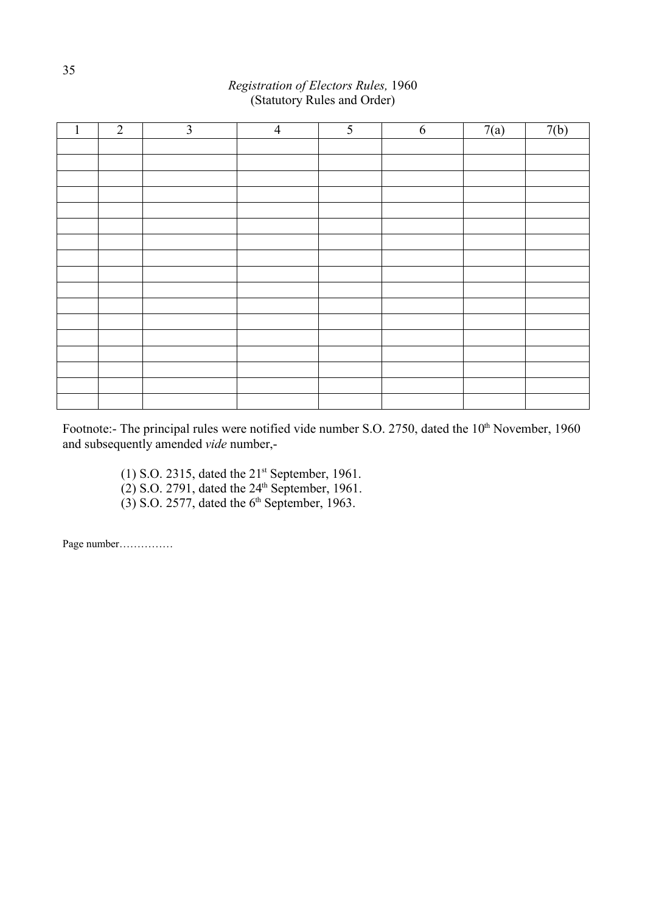| $\mathbf{1}$ | 2 | $\mathfrak{Z}$ | $\overline{4}$ | $5\overline{)}$ | $\overline{6}$ | 7(a) | 7(b) |
|--------------|---|----------------|----------------|-----------------|----------------|------|------|
|              |   |                |                |                 |                |      |      |
|              |   |                |                |                 |                |      |      |
|              |   |                |                |                 |                |      |      |
|              |   |                |                |                 |                |      |      |
|              |   |                |                |                 |                |      |      |
|              |   |                |                |                 |                |      |      |
|              |   |                |                |                 |                |      |      |
|              |   |                |                |                 |                |      |      |
|              |   |                |                |                 |                |      |      |
|              |   |                |                |                 |                |      |      |
|              |   |                |                |                 |                |      |      |
|              |   |                |                |                 |                |      |      |
|              |   |                |                |                 |                |      |      |
|              |   |                |                |                 |                |      |      |
|              |   |                |                |                 |                |      |      |
|              |   |                |                |                 |                |      |      |
|              |   |                |                |                 |                |      |      |

Footnote:- The principal rules were notified vide number S.O. 2750, dated the 10<sup>th</sup> November, 1960 and subsequently amended *vide* number,-

> (1) S.O. 2315, dated the  $21<sup>st</sup>$  September, 1961.  $(2)$  S.O. 2791, dated the  $24<sup>th</sup>$  September, 1961.  $(3)$  S.O. 2577, dated the 6<sup>th</sup> September, 1963.

Page number……………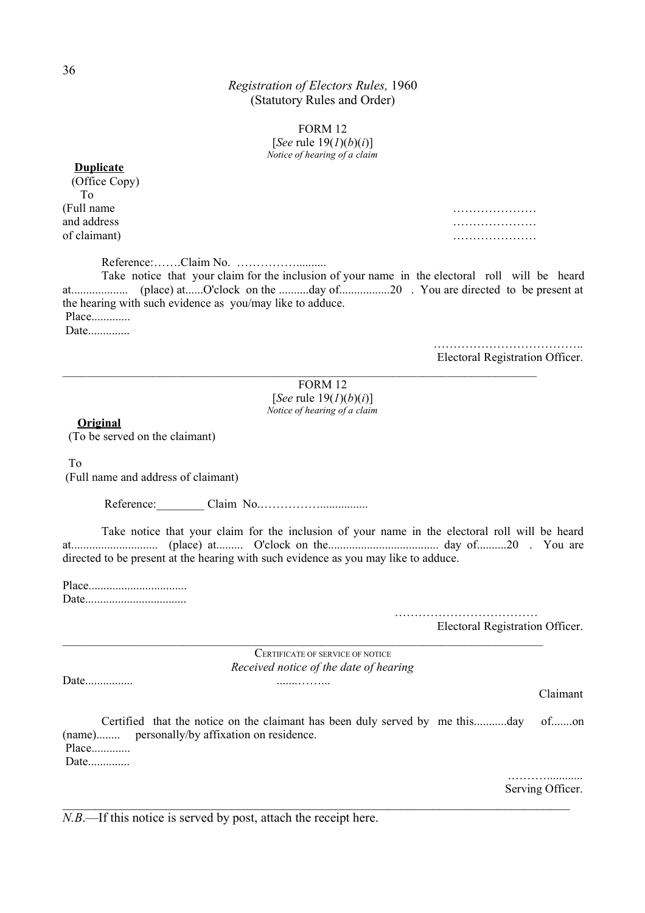> FORM 12 [*See* rule 19(*1*)(*b*)(*i*)] *Notice of hearing of a claim*

| <b>Duplicate</b> |
|------------------|
| (Office Copy)    |
| Tο               |
| (Full name       |
| and address      |
| of claimant)     |
|                  |

…………………… and address measured by the contract of the contract of the contract of the contract of the contract of the contract of the contract of the contract of the contract of the contract of the contract of the contract of the co of claimant) …………………

Reference:…….Claim No. …………….......... Take notice that your claim for the inclusion of your name in the electoral roll will be heard at................... (place) at......O'clock on the ..........day of.................20 . You are directed to be present at the hearing with such evidence as you/may like to adduce. Place............. Date...............

> ………………………………………… Electoral Registration Officer.

FORM 12 [*See* rule 19(*1*)(*b*)(*i*)] *Notice of hearing of a claim*

 $\mathcal{L}_\mathcal{L} = \{ \mathcal{L}_\mathcal{L} = \{ \mathcal{L}_\mathcal{L} = \{ \mathcal{L}_\mathcal{L} = \{ \mathcal{L}_\mathcal{L} = \{ \mathcal{L}_\mathcal{L} = \{ \mathcal{L}_\mathcal{L} = \{ \mathcal{L}_\mathcal{L} = \{ \mathcal{L}_\mathcal{L} = \{ \mathcal{L}_\mathcal{L} = \{ \mathcal{L}_\mathcal{L} = \{ \mathcal{L}_\mathcal{L} = \{ \mathcal{L}_\mathcal{L} = \{ \mathcal{L}_\mathcal{L} = \{ \mathcal{L}_\mathcal{$ 

**Original**

(To be served on the claimant)

To

(Full name and address of claimant)

Reference:\_\_\_\_\_\_\_\_ Claim No.……………................

Take notice that your claim for the inclusion of your name in the electoral roll will be heard at............................. (place) at......... O'clock on the..................................... day of..........20 . You are directed to be present at the hearing with such evidence as you may like to adduce.

Place................................. Date..................................

> $\mathcal{L}_{\mathcal{M}}$  . The contract of the contract of the contract of the contract of the contract of the contract of Electoral Registration Officer.

CERTIFICATE OF SERVICE OF NOTICE *Received notice of the date of hearing*

 $\_$  , and the set of the set of the set of the set of the set of the set of the set of the set of the set of the set of the set of the set of the set of the set of the set of the set of the set of the set of the set of th

Date................ .......……...

Claimant

Certified that the notice on the claimant has been duly served by me this...........day of.......on (name)........ personally/by affixation on residence. Place.............

 $\_$  , and the contribution of the contribution of the contribution of the contribution of  $\mathcal{L}_\text{max}$ 

Date...............

 .………............ Serving Officer.

*N.B.*—If this notice is served by post, attach the receipt here.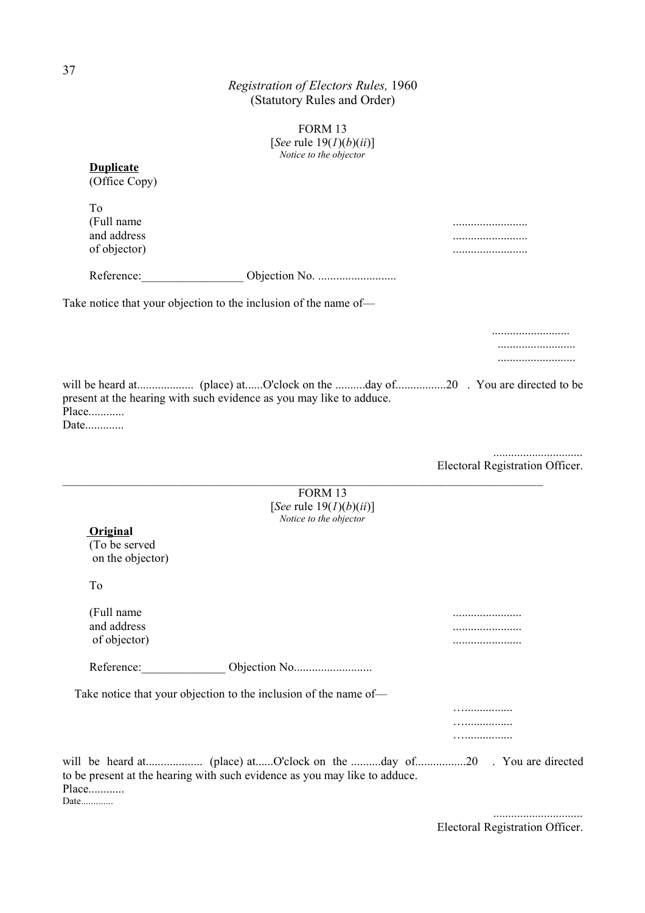|                                               | FORM 13<br>[See rule $19(1)(b)(ii)$ ]                                      |                                 |
|-----------------------------------------------|----------------------------------------------------------------------------|---------------------------------|
|                                               | Notice to the objector                                                     |                                 |
| <b>Duplicate</b><br>(Office Copy)             |                                                                            |                                 |
| To                                            |                                                                            |                                 |
| (Full name                                    |                                                                            |                                 |
| and address                                   |                                                                            |                                 |
| of objector)                                  |                                                                            |                                 |
| Reference:                                    |                                                                            |                                 |
|                                               | Take notice that your objection to the inclusion of the name of—           |                                 |
|                                               |                                                                            |                                 |
|                                               |                                                                            |                                 |
|                                               |                                                                            |                                 |
| Place<br>Date                                 | present at the hearing with such evidence as you may like to adduce.       |                                 |
|                                               |                                                                            |                                 |
|                                               |                                                                            | Electoral Registration Officer. |
|                                               | FORM 13                                                                    |                                 |
|                                               | [See rule $19(1)(b)(ii)$ ]<br>Notice to the objector                       |                                 |
| Original<br>(To be served<br>on the objector) |                                                                            |                                 |
| To                                            |                                                                            |                                 |
| (Full name                                    |                                                                            |                                 |
| and address                                   |                                                                            |                                 |
| of objector)                                  |                                                                            |                                 |
|                                               |                                                                            |                                 |
|                                               | Take notice that your objection to the inclusion of the name of-           |                                 |
|                                               |                                                                            | .                               |
|                                               |                                                                            | .<br>.                          |
|                                               |                                                                            |                                 |
| Place<br>Date                                 | to be present at the hearing with such evidence as you may like to adduce. |                                 |
|                                               |                                                                            |                                 |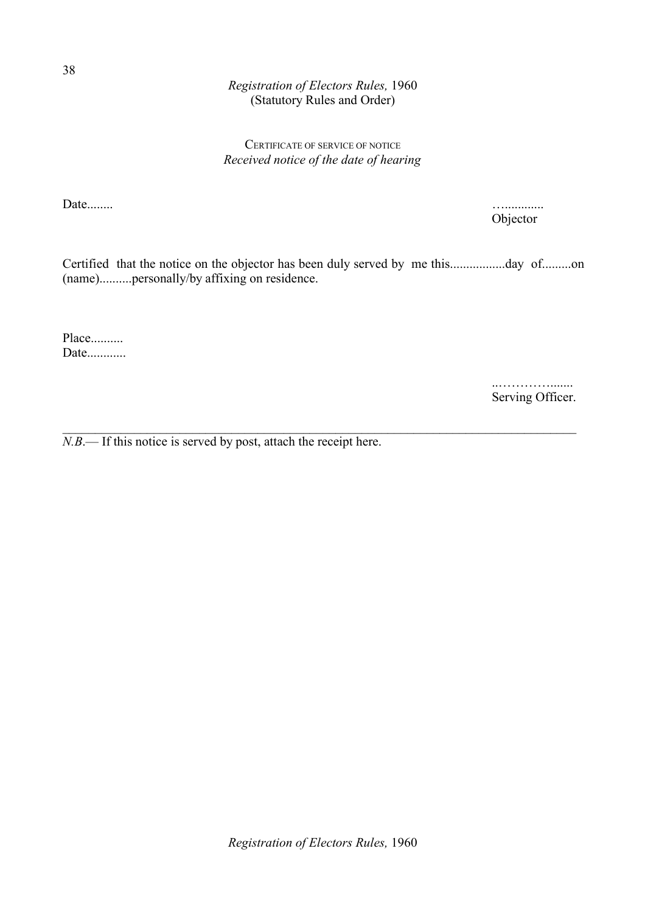# CERTIFICATE OF SERVICE OF NOTICE *Received notice of the date of hearing*

Date........ …............

Objector

Certified that the notice on the objector has been duly served by me this.................day of.........on (name)..........personally/by affixing on residence.

 $\_$  , and the contribution of the contribution of the contribution of the contribution of  $\mathcal{L}_\text{max}$ 

Place.......... Date............

> ..…………....... Serving Officer.

*N.B*.— If this notice is served by post, attach the receipt here.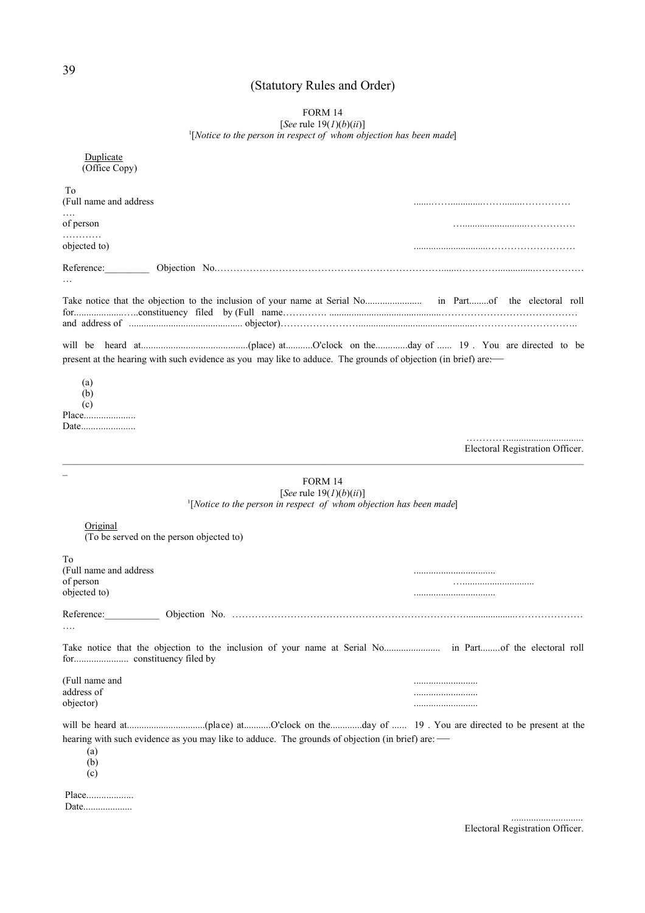# (Statutory Rules and Order)

# FORM 14 [*See* rule 19(*1*)(*b*)(*ii*)] 1 [*Notice to the person in respect of whom objection has been made*]

| Duplicate<br>(Office Copy)                                                                                     |                                                                                 |                                 |
|----------------------------------------------------------------------------------------------------------------|---------------------------------------------------------------------------------|---------------------------------|
| To                                                                                                             |                                                                                 |                                 |
| (Full name and address                                                                                         |                                                                                 |                                 |
| of person                                                                                                      |                                                                                 |                                 |
| objected to)                                                                                                   |                                                                                 |                                 |
| Reference:                                                                                                     |                                                                                 |                                 |
|                                                                                                                |                                                                                 |                                 |
|                                                                                                                |                                                                                 |                                 |
|                                                                                                                |                                                                                 |                                 |
| present at the hearing with such evidence as you may like to adduce. The grounds of objection (in brief) are:— |                                                                                 |                                 |
| (a)<br>(b)<br>(c)<br>Date                                                                                      |                                                                                 |                                 |
|                                                                                                                |                                                                                 | Electoral Registration Officer. |
|                                                                                                                | FORM 14<br>[See rule $19(1)(b)(ii)$ ]                                           |                                 |
|                                                                                                                | $\frac{1}{2}$ [Notice to the person in respect of whom objection has been made] |                                 |
| Original<br>(To be served on the person objected to)                                                           |                                                                                 |                                 |
| To                                                                                                             |                                                                                 |                                 |
| (Full name and address<br>of person                                                                            |                                                                                 |                                 |
| objected to)                                                                                                   |                                                                                 |                                 |
| Reference:                                                                                                     |                                                                                 |                                 |
|                                                                                                                |                                                                                 |                                 |
|                                                                                                                |                                                                                 |                                 |
| (Full name and                                                                                                 |                                                                                 |                                 |
| address of<br>objector)                                                                                        |                                                                                 |                                 |
|                                                                                                                |                                                                                 |                                 |
| hearing with such evidence as you may like to adduce. The grounds of objection (in brief) are: —<br>(a)<br>(b) |                                                                                 |                                 |
| (c)                                                                                                            |                                                                                 |                                 |
| Place                                                                                                          |                                                                                 |                                 |

Electoral Registration Officer.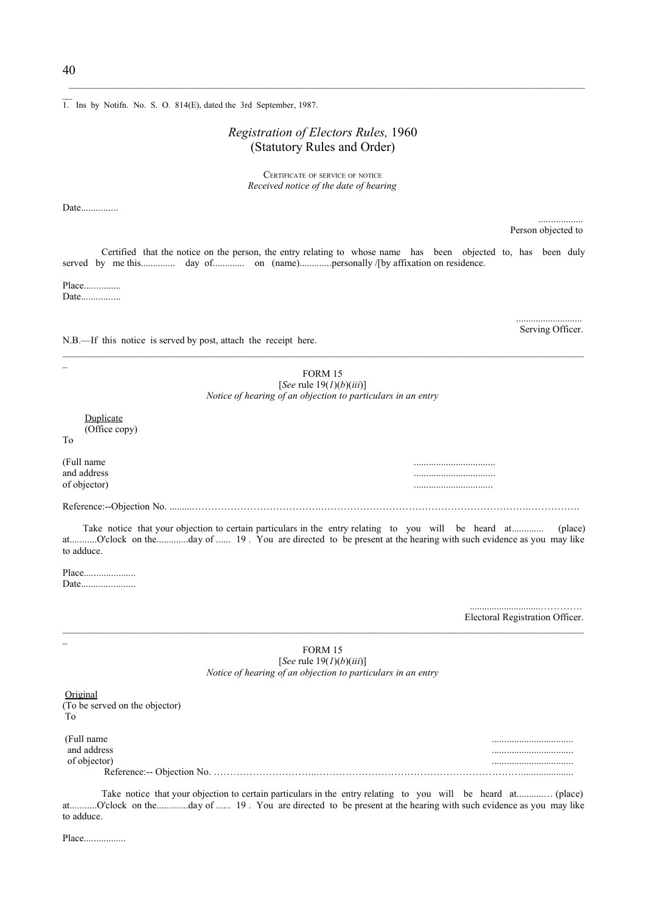1. Ins by Notifn. No. S. O. 814(E), dated the 3rd September, 1987.

### *Registration of Electors Rules,* 1960 (Statutory Rules and Order)

 $\mathcal{L}_\text{max}$ 

CERTIFICATE OF SERVICE OF NOTICE *Received notice of the date of hearing*

Date...............

Person objected to

Serving Officer.

...........................

..................

Certified that the notice on the person, the entry relating to whose name has been objected to, has been duly served by me this.............. day of............. on (name).............personally /[by affixation on residence.

Place............... Date.................

N.B.—If this notice is served by post, attach the receipt here.

FORM 15 [*See* rule 19(*1*)(*b*)(*iii*)] *Notice of hearing of an objection to particulars in an entry*

 Duplicate (Office copy)

(Full name ................................. and address ................................. of objector)

To

Reference:--Objection No. .........………………………………….……………………………………………………….…………….

Take notice that your objection to certain particulars in the entry relating to you will be heard at............. (place) at...........O'clock on the.............day of ...... 19 . You are directed to be present at the hearing with such evidence as you may like to adduce.

Place..................... Date.........................

> .............................…………. Electoral Registration Officer.

| FORM 15<br>[See rule $19(1)(b)(iii)$ ]<br>Notice of hearing of an objection to particulars in an entry |          |
|--------------------------------------------------------------------------------------------------------|----------|
| Original<br>(To be served on the objector)<br>To                                                       |          |
| (Full name)<br>and address<br>of objector)<br>Reference:-- Objection No.                               | <br><br> |

Take notice that your objection to certain particulars in the entry relating to you will be heard at...........… (place) at...........O'clock on the.............day of ...... 19 . You are directed to be present at the hearing with such evidence as you may like to adduce.

Place..................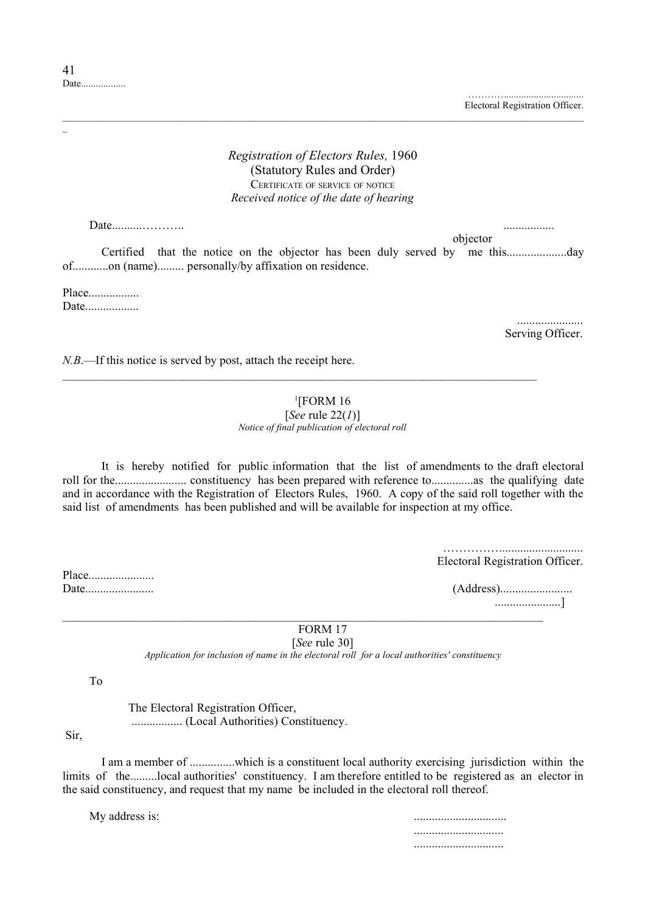…………............................... Electoral Registration Officer.

### *Registration of Electors Rules,* 1960 (Statutory Rules and Order) CERTIFICATE OF SERVICE OF NOTICE *Received notice of the date of hearing*

\_\_\_\_\_\_\_\_\_\_\_\_\_\_\_\_\_\_\_\_\_\_\_\_\_\_\_\_\_\_\_\_\_\_\_\_\_\_\_\_\_\_\_\_\_\_\_\_\_\_\_\_\_\_\_\_\_\_\_\_\_\_\_\_\_\_\_\_\_\_\_\_\_\_\_\_\_\_\_\_\_\_\_\_\_\_\_\_\_\_\_\_\_\_\_\_\_\_\_\_\_\_\_\_\_

Date..........……….. .................

objector

Certified that the notice on the objector has been duly served by me this....................day of............on (name)......... personally/by affixation on residence.

Place................. Date..................

> ...................... Serving Officer.

*N.B.*—If this notice is served by post, attach the receipt here.

# $1$ [FORM 16

 $\mathcal{L}_\mathcal{L} = \{ \mathcal{L}_\mathcal{L} = \{ \mathcal{L}_\mathcal{L} = \{ \mathcal{L}_\mathcal{L} = \{ \mathcal{L}_\mathcal{L} = \{ \mathcal{L}_\mathcal{L} = \{ \mathcal{L}_\mathcal{L} = \{ \mathcal{L}_\mathcal{L} = \{ \mathcal{L}_\mathcal{L} = \{ \mathcal{L}_\mathcal{L} = \{ \mathcal{L}_\mathcal{L} = \{ \mathcal{L}_\mathcal{L} = \{ \mathcal{L}_\mathcal{L} = \{ \mathcal{L}_\mathcal{L} = \{ \mathcal{L}_\mathcal{$ 

[*See* rule 22(*1*)] *Notice of final publication of electoral roll*

It is hereby notified for public information that the list of amendments to the draft electoral roll for the........................ constituency has been prepared with reference to..............as the qualifying date and in accordance with the Registration of Electors Rules, 1960. A copy of the said roll together with the said list of amendments has been published and will be available for inspection at my office.

> ……………........................... Electoral Registration Officer.

Date....................... (Address)........................ ......................]

 $\mathcal{L}_\mathcal{L} = \{ \mathcal{L}_\mathcal{L} = \{ \mathcal{L}_\mathcal{L} = \{ \mathcal{L}_\mathcal{L} = \{ \mathcal{L}_\mathcal{L} = \{ \mathcal{L}_\mathcal{L} = \{ \mathcal{L}_\mathcal{L} = \{ \mathcal{L}_\mathcal{L} = \{ \mathcal{L}_\mathcal{L} = \{ \mathcal{L}_\mathcal{L} = \{ \mathcal{L}_\mathcal{L} = \{ \mathcal{L}_\mathcal{L} = \{ \mathcal{L}_\mathcal{L} = \{ \mathcal{L}_\mathcal{L} = \{ \mathcal{L}_\mathcal{$ FORM 17 [*See* rule 30]

*Application for inclusion of name in the electoral roll for a local authorities' constituency*

To

Place........................

 The Electoral Registration Officer, ................. (Local Authorities) Constituency.

Sir,

I am a member of ...............which is a constituent local authority exercising jurisdiction within the limits of the.........local authorities' constituency. I am therefore entitled to be registered as an elector in the said constituency, and request that my name be included in the electoral roll thereof.

My address is:

 .............................. ..............................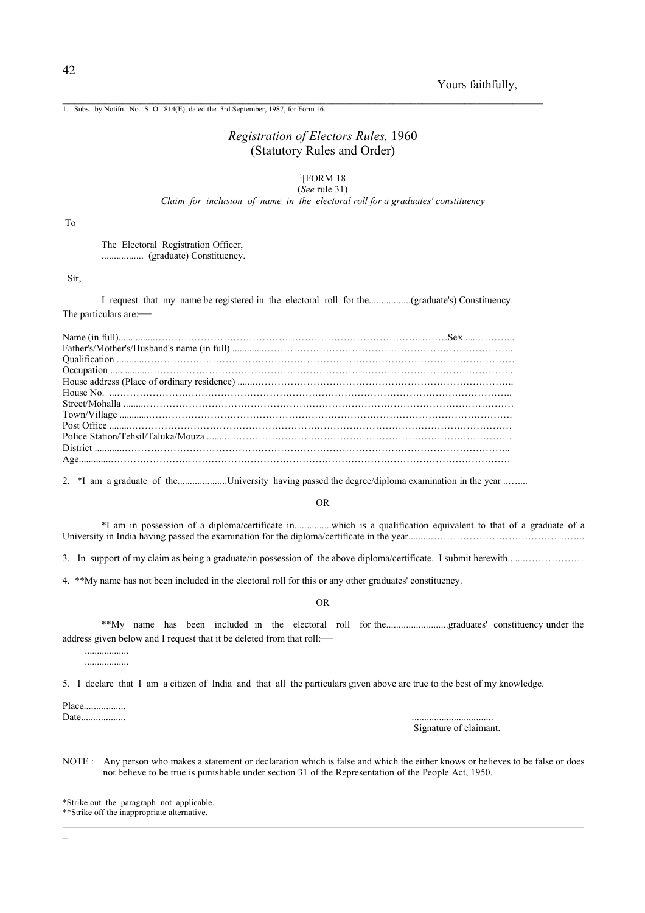1. Subs. by Notifn. No. S. O. 814(E), dated the 3rd September, 1987, for Form 16.

# *Registration of Electors Rules,* 1960 (Statutory Rules and Order)

#### 1 [FORM 18 (*See* rule 31)

*Claim for inclusion of name in the electoral roll for a graduates' constituency*

To

The Electoral Registration Officer, ................. (graduate) Constituency.

Sir,

I request that my name be registered in the electoral roll for the.................(graduate's) Constituency. The particulars are:—

Name (in full)...............………………………………………………………………………………Sex......………... Father's/Mother's/Husband's name (in full) .............………………………………………………………………….. Qualification ...........…………………………………………………………………………………………………… Occupation ...............………………………………………………………………………………………………….. House address (Place of ordinary residence) .......…………………………………………………………………….. House No. ...………………………………………………………………………………………………………….. Street/Mohalla ........…………………………………………………………………………………………………… Town/Village ............…………………………………………………………………………………………………. Post Office .........……………………………………………………………………………………………………… Police Station/Tehsil/Taluka/Mouza District ............……………………………………………………………………………………………………….. Age.............……………………………………………………………………………………………………………

2. \*I am a graduate of the........................University having passed the degree/diploma examination in the year .........

#### OR

\*I am in possession of a diploma/certificate in...............which is a qualification equivalent to that of a graduate of a University in India having passed the examination for the diploma/certificate in the year.........………………………………………...

3. In support of my claim as being a graduate/in possession of the above diploma/certificate. I submit herewith.......………………

4. \*\*My name has not been included in the electoral roll for this or any other graduates' constituency.

OR

\*\*My name has been included in the electoral roll for the.........................graduates' constituency under the address given below and I request that it be deleted from that roll:—

 .................. ..................

5. I declare that I am a citizen of India and that all the particulars given above are true to the best of my knowledge.

Place................. Date.................. .................................

Signature of claimant.

NOTE : Any person who makes a statement or declaration which is false and which the either knows or believes to be false or does not believe to be true is punishable under section 31 of the Representation of the People Act, 1950.

\_\_\_\_\_\_\_\_\_\_\_\_\_\_\_\_\_\_\_\_\_\_\_\_\_\_\_\_\_\_\_\_\_\_\_\_\_\_\_\_\_\_\_\_\_\_\_\_\_\_\_\_\_\_\_\_\_\_\_\_\_\_\_\_\_\_\_\_\_\_\_\_\_\_\_\_\_\_\_\_\_\_\_\_\_\_\_\_\_\_\_\_\_\_\_\_\_\_\_\_\_\_\_\_\_

\*Strike out the paragraph not applicable. \*\*Strike off the inappropriate alternative.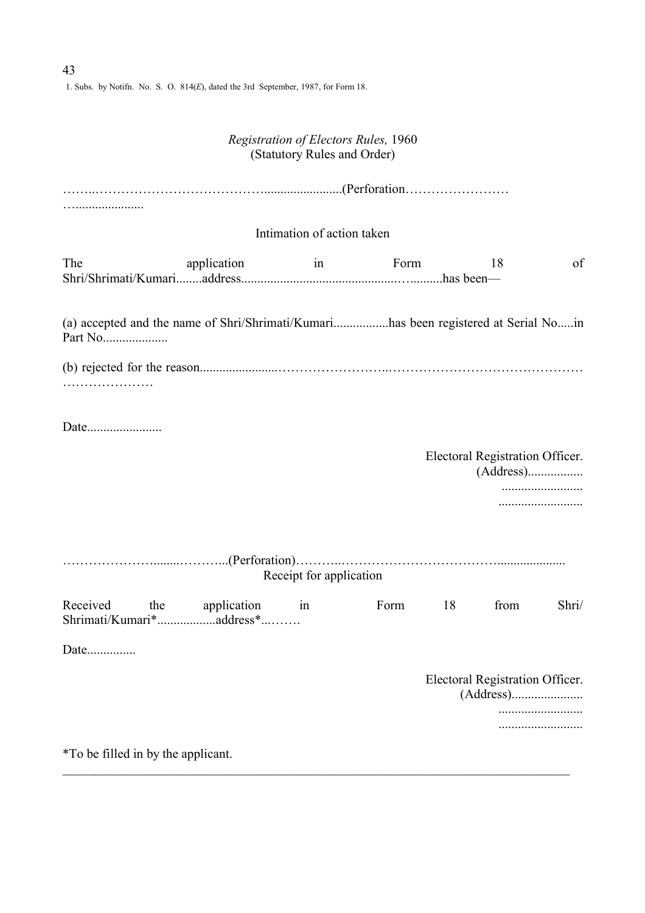1. Subs. by Notifn. No. S. O. 814(*E*), dated the 3rd September, 1987, for Form 18.

# *Registration of Electors Rules,* 1960 (Statutory Rules and Order)

|                                                                                                |                | Intimation of action taken |      |    |                                      |       |
|------------------------------------------------------------------------------------------------|----------------|----------------------------|------|----|--------------------------------------|-------|
| The                                                                                            | application    | $\sin \theta$              | Form |    | 18                                   | of    |
| (a) accepted and the name of Shri/Shrimati/Kumarihas been registered at Serial Noin<br>Part No |                |                            |      |    |                                      |       |
|                                                                                                |                |                            |      |    |                                      |       |
|                                                                                                |                |                            |      |    |                                      |       |
|                                                                                                |                |                            |      |    | Electoral Registration Officer.      |       |
|                                                                                                |                | Receipt for application    |      |    |                                      |       |
| Received<br>the                                                                                | application in |                            | Form | 18 | from                                 | Shri/ |
| Date                                                                                           |                |                            |      |    |                                      |       |
|                                                                                                |                |                            |      |    | Electoral Registration Officer.<br>. |       |
| *To be filled in by the applicant.                                                             |                |                            |      |    |                                      |       |

 $\_$  , and the contribution of the contribution of the contribution of the contribution of  $\mathcal{L}_\text{max}$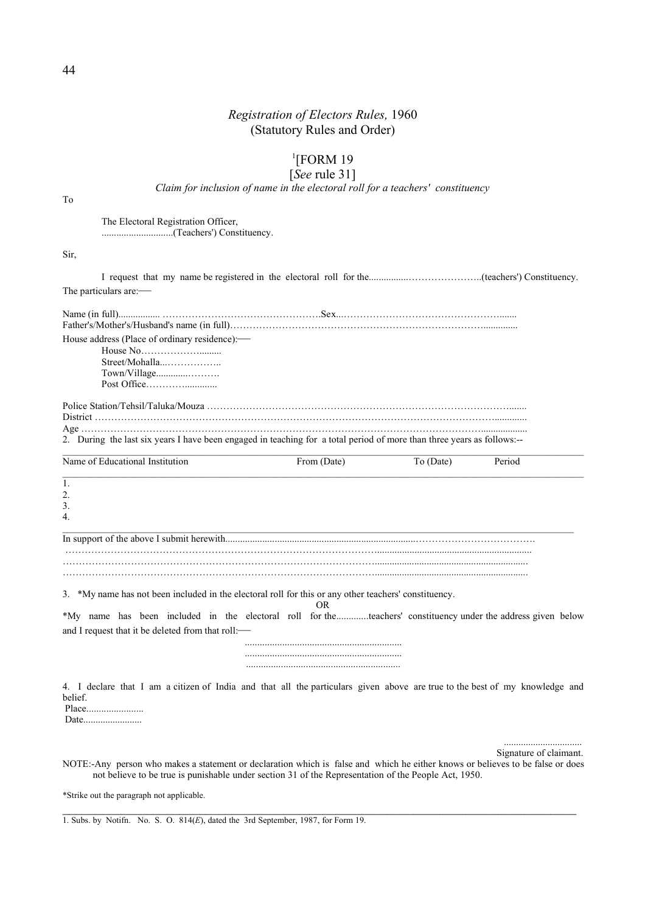### 1 [FORM 19

### [*See* rule 31]

*Claim for inclusion of name in the electoral roll for a teachers' constituency*

To

The Electoral Registration Officer, .............................(Teachers') Constituency.

Sir,

| The particulars are:-                                                                                                                                                                                                                                                      |             |           |        |
|----------------------------------------------------------------------------------------------------------------------------------------------------------------------------------------------------------------------------------------------------------------------------|-------------|-----------|--------|
| House address (Place of ordinary residence):-<br>Street/Mohalla<br>Town/Village<br>2. During the last six years I have been engaged in teaching for a total period of more than three years as follows:--                                                                  |             |           |        |
| Name of Educational Institution                                                                                                                                                                                                                                            | From (Date) | To (Date) | Period |
| 1.<br>2.<br>3.<br>4.                                                                                                                                                                                                                                                       |             |           |        |
|                                                                                                                                                                                                                                                                            |             |           |        |
| 3. *My name has not been included in the electoral roll for this or any other teachers' constituency.<br>*My name has been included in the electoral roll for theteachers' constituency under the address given below<br>and I request that it be deleted from that roll:- | OR          |           |        |
|                                                                                                                                                                                                                                                                            |             |           |        |
| 4. I declare that I am a citizen of India and that all the particulars given above are true to the best of my knowledge and<br>belief.                                                                                                                                     |             |           |        |

 ................................ Signature of claimant.

NOTE:-Any person who makes a statement or declaration which is false and which he either knows or believes to be false or does not believe to be true is punishable under section 31 of the Representation of the People Act, 1950.

 $\mathcal{L}_\mathcal{L} = \{ \mathcal{L}_\mathcal{L} = \{ \mathcal{L}_\mathcal{L} = \{ \mathcal{L}_\mathcal{L} = \{ \mathcal{L}_\mathcal{L} = \{ \mathcal{L}_\mathcal{L} = \{ \mathcal{L}_\mathcal{L} = \{ \mathcal{L}_\mathcal{L} = \{ \mathcal{L}_\mathcal{L} = \{ \mathcal{L}_\mathcal{L} = \{ \mathcal{L}_\mathcal{L} = \{ \mathcal{L}_\mathcal{L} = \{ \mathcal{L}_\mathcal{L} = \{ \mathcal{L}_\mathcal{L} = \{ \mathcal{L}_\mathcal{$ 

\*Strike out the paragraph not applicable.

1. Subs. by Notifn. No. S. O. 814(*E*), dated the 3rd September, 1987, for Form 19.